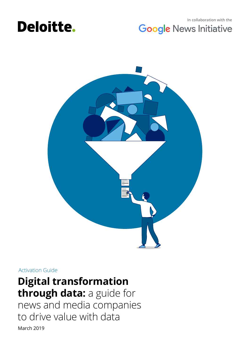

## **In collaboration with the Google News Initiative**



### Activation Guide

# **Digital transformation through data:** a guide for

March 2019 news and media companies to drive value with data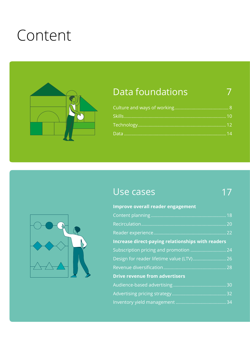# Content



# Data foundations

# Use cases

# 17

7



| <b>Increase direct-paying relationships with readers</b> |
|----------------------------------------------------------|
| Subscription pricing and promotion  24                   |
| Design for reader lifetime value (LTV) 26                |
|                                                          |
|                                                          |
|                                                          |
|                                                          |
|                                                          |
|                                                          |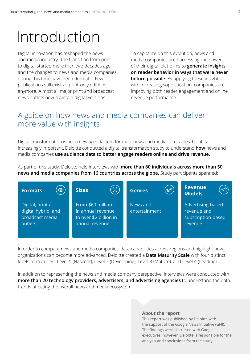# Introduction

Digital innovation has reshaped the news and media industry. The transition from print to digital started more than two decades ago, and the changes to news and media companies during this time have been dramatic. Few publications still exist as print-only editions anymore. Almost all major print and broadcast news outlets now maintain digital versions.

To capitalize on this evolution, news and media companies are harnessing the power of their digital platforms to **generate insights on reader behavior in ways that were never before possible**. By applying these insights with increasing sophistication, companies are improving both reader engagement and online revenue performance.

# A guide on how news and media companies can deliver more value with insights

Digital transformation is not a new agenda item for most news and media companies, but it is increasingly important. Deloitte conducted a digital transformation study to understand **how** news and media companies **use audience data to better engage readers online and drive revenue.**

As part of this study, Deloitte held interviews with **more than 80 individuals across more than 50 news and media companies from 16 countries across the globe.** Study participants spanned:



In order to compare news and media companies' data capabilities across regions and highlight how organizations can become more advanced, Deloitte created a **Data Maturity Scale** with four distinct levels of maturity - Level 1 (Nascent), Level 2 (Developing), Level 3 (Mature), and Level 4 (Leading).

In addition to representing the news and media company perspective, interviews were conducted with **more than 20 technology providers, advertisers, and advertising agencies** to understand the data trends affecting the overall news and media ecosystem.

#### **About the report**

This report was published by Deloitte with the support of the Google News Initiative (GNI). The findings were discussed with Google executives; however, Deloitte is responsible for the analysis and conclusions from the study.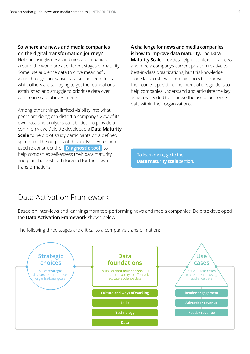#### **So where are news and media companies on the digital transformation journey?**

Not surprisingly, news and media companies around the world are at different stages of maturity. Some use audience data to drive meaningful value through innovative data-supported efforts, while others are still trying to get the foundations established and struggle to prioritize data over competing capital investments.

Among other things, limited visibility into what peers are doing can distort a company's view of its own data and analytics capabilities. To provide a common view, Deloitte developed a **Data Maturity Scale** to help plot study participants on a defined spectrum. The outputs of this analysis were then used to construct the **[Diagnostic](http://digitalmaturitybenchmark.withgoogle.com/news) tool** to help companies self-assess their data maturity and plan the best path forward for their own transformations.

**A challenge for news and media companies is how to improve data maturity.** The **Data Maturity Scale** provides helpful context for a news

and media company's current position relative to best-in-class organizations, but this knowledge alone fails to show companies how to improve their current position. The intent of this guide is to help companies understand and articulate the key activities needed to improve the use of audience data within their organizations.

[To learn more, go to the](#page-35-0)  **Data maturity scale** section.

## Data Activation Framework

Based on interviews and learnings from top-performing news and media companies, Deloitte developed the **Data Activation Framework** shown below.

The following three stages are critical to a company's transformation:

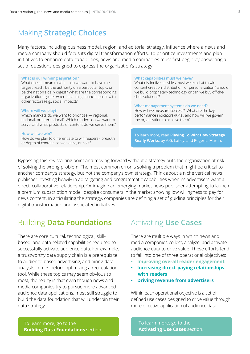# Making **Strategic Choices**

Many factors, including business model, region, and editorial strategy, influence where a news and media company should focus its digital transformation efforts. To prioritize investments and plan initiatives to enhance data capabilities, news and media companies must first begin by answering a set of questions designed to express the organization's strategy:

#### **What is our winning aspiration?**

What does it mean to win — do we want to have the largest reach, be the authority on a particular topic, or be the nation's daily digest? What are the corresponding organizational goals when balancing financial profit with other factors (e.g., social impact)?

#### **Where will we play?**

Which markets do we want to prioritize — regional, national, or international? Which readers do we want to serve, and what products or content do we serve them?

#### **How will we win?**

How do we plan to differentiate to win readers - breadth or depth of content, convenience, or cost?

#### **What capabilities must we have?**

What distinctive activities must we excel at to win content creation, distribution, or personalization? Should we build proprietary technology or can we buy off-theshelf solutions?

**What management systems do we need?**  How will we measure success? What are the key performance indicators (KPIs), and how will we govern the organization to achieve them?

To learn more, read **Playing To Win: How Strategy Really Works**, by A.G. Lafley, and Roger L. Martin.

Bypassing this key starting point and moving forward without a strategy puts the organization at risk of solving the wrong problem. The most common error is solving a problem that might be critical to another company's strategy, but not the company's own strategy. Think about a niche vertical news publisher investing heavily in ad targeting and programmatic capabilities when its advertisers want a direct, collaborative relationship. Or imagine an emerging market news publisher attempting to launch a premium subscription model, despite consumers in the market showing low willingness to pay for news content. In articulating the strategy, companies are defining a set of guiding principles for their digital transformation and associated initiatives.

# Building **Data Foundations**

There are core cultural, technological, skillbased, and data-related capabilities required to successfully activate audience data. For example, a trustworthy data supply chain is a prerequisite to audience-based advertising, and hiring data analysts comes before optimizing a recirculation tool. While these topics may seem obvious to most, the reality is that even though news and media companies try to pursue more advanced audience data applications, most still struggle to build the data foundation that will underpin their data strategy.

# Activating **Use Cases**

There are multiple ways in which news and media companies collect, analyze, and activate audience data to drive value. These efforts tend to fall into one of three operational objectives:

- **Improving overall reader engagement**
- **Increasing direct-paying relationships with readers**
- **Driving revenue from advertisers**

Within each operational objective is a set of defined use cases designed to drive value through more effective application of audience data.

To learn more, go to the **[Building Data Foundations](#page-6-0)** section. [To learn more, go to the](#page-16-0) **Activating Use Cases** section.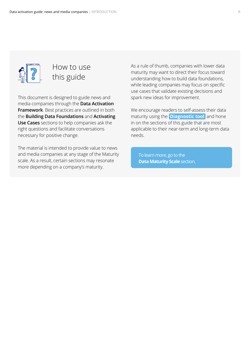

# How to use this guide

This document is designed to guide news and media companies through the **Data Activation Framework**. Best practices are outlined in both the **Building Data Foundations** and **Activating Use Cases** sections to help companies ask the right questions and facilitate conversations necessary for positive change.

The material is intended to provide value to news and media companies at any stage of the Maturity scale. As a result, certain sections may resonate more depending on a company's maturity.

As a rule of thumb, companies with lower data maturity may want to direct their focus toward understanding how to build data foundations, while leading companies may focus on specific use cases that validate existing decisions and spark new ideas for improvement.

We encourage readers to self-assess their data maturity using the **[Diagnostic tool](http://digitalmaturitybenchmark.withgoogle.com/news)** and hone in on the sections of this guide that are most applicable to their near-term and long-term data needs.

[To learn more, go to the](#page-35-0)  **Data Maturity Scale** section.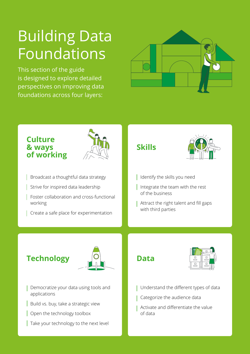# <span id="page-6-0"></span>Building Data Foundations

This section of the guide is designed to explore detailed perspectives on improving data foundations across four layers:



# **Culture & ways of working**



- Broadcast a thoughtful data strategy
- Strive for inspired data leadership
- Foster collaboration and cross-functional working
- Create a safe place for experimentation

# **Skills**



- I Identify the skills you need
- I Integrate the team with the rest of the business
- Attract the right talent and fill gaps with third parties

# **Technology**



- Democratize your data using tools and applications
- Build vs. buy, take a strategic view
- Open the technology toolbox
- Take your technology to the next level





- Understand the different types of data
- Categorize the audience data
- Activate and differentiate the value of data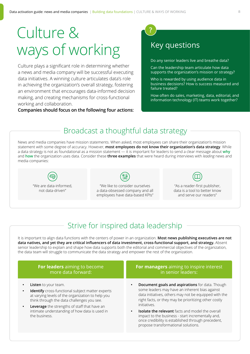# Culture & ways of working

Culture plays a significant role in determining whether a news and media company will be successful executing data initiatives. A winning culture articulates data's role in achieving the organization's overall strategy, fostering an environment that encourages data-informed decision making, and creating mechanisms for cross-functional working and collaboration.

**Companies should focus on the following four actions:**

# Key questions

**?**

Do any senior leaders live and breathe data?

Can the leadership team articulate how data supports the organization's mission or strategy?

Who is rewarded by using audience data in business decisions? How is success measured and failure treated?

How often do sales, marketing, data, editorial, and information technology (IT) teams work together?

# Broadcast a thoughtful data strategy

News and media companies have mission statements. When asked, most employees can share their organization's mission statement with some degree of accuracy. However, **most employees do not know their organization's data strategy**. While a data strategy is not as foundational as a mission statement — it is important for leaders to send a clear message about **why** and **how** the organization uses data. Consider these **three examples** that were heard during interviews with *leading* news and media companies:

"We are data-informed,

not data-driven"



"We like to consider ourselves a data-obsessed company and all employees have data-based KPIs"

"As a reader-first publisher, data is a tool to better know and serve our readers"

# Strive for inspired data leadership

It is important to align data functions with the centers of power in an organization. **Most news publishing executives are not data natives, and yet they are critical influencers of data investment, cross-functional support, and strategy.** Absent senior leadership to explain and shape how data supports both the editorial and commercial objectives of the organization, the data team will struggle to communicate the data strategy and empower the rest of the organization.

| <b>For leaders</b> aiming to become                                                                                                                                                                                                                                                                  | For managers aiming to inspire interest                                                                                                                                                                                                                                                                                                                                                                                                                       |
|------------------------------------------------------------------------------------------------------------------------------------------------------------------------------------------------------------------------------------------------------------------------------------------------------|---------------------------------------------------------------------------------------------------------------------------------------------------------------------------------------------------------------------------------------------------------------------------------------------------------------------------------------------------------------------------------------------------------------------------------------------------------------|
| more data forward:                                                                                                                                                                                                                                                                                   | in senior leaders:                                                                                                                                                                                                                                                                                                                                                                                                                                            |
| Listen to your team.<br><b>Identify</b> cross-functional subject matter experts<br>at varying levels of the organization to help you<br>think through the data challenges you see.<br>Leverage the strengths of staff that have an<br>intimate understanding of how data is used in<br>the business. | Document goals and aspirations for data. Though<br>some leaders may have an inherent bias against<br>data initiatives, others may not be equipped with the<br>right facts, or they may be prioritizing other costly<br>initiatives.<br><b>Isolate the relevant</b> facts and model the overall<br>$\bullet$<br>impact to the business - start incrementally and,<br>once credibility is established through precedent,<br>propose transformational solutions. |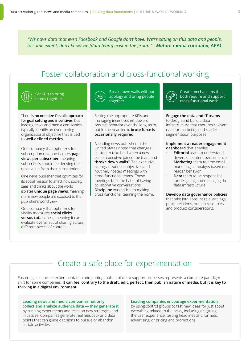*"We have data that even Facebook and Google don't have. We're sitting on this data and people, to some extent, don't know we [data team] exist in the group."* **-** *Mature* **media company, APAC**

# Foster collaboration and cross-functional working

#### Set KPIs to bring teams together

There is **no one-size-fits-all approach for goal setting and incentives**, but leading news and media companies typically identify an overarching organizational objective that is tied to **well-defined metrics**.

One company that optimizes for subscription revenue isolates **page views per subscriber**, meaning subscribers should be deriving the most value from their subscriptions.

One news publisher that optimizes for its social mission to affect how society sees and thinks about the world isolates **unique page views**, meaning more new people are exposed to the publisher's world view.

One company that optimizes for virality measures **social clicks versus total clicks,** meaning it can evaluate overall social sharing across different pieces of content.

certain activities.

| ÷ |  |  |
|---|--|--|
|---|--|--|

Break down walls without apology and bring people together

Setting the appropriate KPIs and managing incentives empowers positive behavior over the long-term, but in the near-term, **brute force is occasionally required.** 

A leading news publisher in the United States noted that changes started to take hold when a new senior executive joined the team and **"broke down walls"**. The executive set organizational objectives and routinely hosted meetings with cross-functional teams. These meetings built the habit of having collaborative conversations. **Discipline** was critical to making cross-functional teaming the norm.



Create mechanisms that both require and support cross-functional work

#### **Engage the data and IT teams**

to design and build a data infrastructure that captures relevant data for marketing and reader segmentation purposes.

#### **Implement a reader engagement dashboard** that enables:

- **Editorial** team to understand drivers of content performance
- **Marketing** team to time email marketing campaigns based on reader behavior
- **Data** team to be responsible for designing and managing the data infrastructure

#### **Develop data governance policies** that take into account relevant legal,

public relations, human resources, and product considerations.

# Create a safe place for experimentation

Fostering a culture of experimentation and putting tools in place to support processes represents a complete paradigm shift for some companies. **It can feel contrary to the draft, edit, perfect, then publish nature of media, but it is key to thriving in a digital environment.**

#### **Leading news and media companies not only collect and analyze audience data — they generate it** by running experiments and tests on new strategies and initiatives. Companies generate real feedback and data points that can guide decisions to pursue or abandon

#### **Leading companies encourage experimentation**

by using control groups to test new ideas for just about everything related to the news, including designing the user experience, testing headlines and formats, advertising, or pricing and promotions.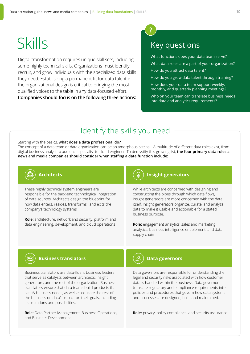# Skills

Digital transformation requires unique skill sets, including some highly technical skills. Organizations must identify, recruit, and grow individuals with the specialized data skills they need. Establishing a permanent fit for data talent in the organizational design is critical to bringing the most qualified voices to the table in any data-focused effort. **Companies should focus on the following three actions:**



What functions does your data team serve?

What data roles are a part of your organization?

How do you attract data talent?

How do you grow data talent through training?

How does your data team support weekly, monthly, and quarterly planning meetings?

Who on your team can translate business needs into data and analytics requirements?

## Identify the skills you need

Starting with the basics, **what does a data professional do?** The concept of a data team or data organization can be an amorphous catchall. A multitude of different data roles exist, from digital business analyst to audience specialist to cloud engineer. To demystify this growing list, **the four primary data roles a news and media companies should consider when staffing a data function include:**

# **Architects**

These highly technical system engineers are responsible for the back-end technological integration of data sources. Architects design the blueprint for how data enters, resides, transforms, and exits the company's technology systems.

**Role:** architecture, network and security, platform and data engineering, development, and cloud operations

#### **Insight generators**

While architects are concerned with designing and constructing the pipes through which data flows, insight generators are more concerned with the data itself. Insight generators organize, curate, and analyze data to make it usable and actionable for a stated business purpose.

**Role:** engagement analytics, sales and marketing analytics, business intelligence enablement, and data supply chain



#### **Business translators**

Business translators are data-fluent business leaders that serve as catalysts between architects, insight generators, and the rest of the organization. Business translators ensure that data teams build products that satisfy business needs, as well as educate the rest of the business on data's impact on their goals, including its limitations and possibilities.

**Role:** Data Partner Management, Business Operations, and Business Development



#### **Data governors**

Data governors are responsible for understanding the legal and security risks associated with how customer data is handled within the business. Data governors translate regulatory and compliance requirements into policies and procedures that govern how data systems and processes are designed, built, and maintained.

**Role:** privacy, policy compliance, and security assurance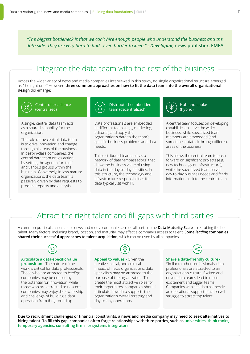*"The biggest bottleneck is that we can't hire enough people who understand the business and the data side. They are very hard to find...even harder to keep."* **-** *Developing* **news publisher, EMEA**

# Integrate the data team with the rest of the business

Across the wide variety of news and media companies interviewed in this study, no single organizational structure emerged as "the right one." However, **three common approaches on how to fit the data team into the overall organizational design** did emerge:



Center of excellence (centralized)

A single, central data team acts as a shared capability for the organization.

The role of the central data team is to drive innovation and change through all areas of the business. In best-in-class companies, the central data team drives action by setting the agenda for itself and various groups within the business. Conversely, in less mature organizations, the data team is passively driven by data requests to produce reports and analysis.



Distributed / embedded team (decentralized)

Data professionals are embedded in different teams (e.g., marketing, editorial) and apply the organization's data to the team's specific business problems and data needs.

This distributed team acts as a network of data "ambassadors" that show the business value of using data in the day-to-day activities. In this structure, the technology and infrastructure responsibilities for data typically sit with IT.



Hub-and-spoke

A central team focuses on developing capabilities to serve the wider business, while specialized team members are embedded (and sometimes rotated) through different areas of the business.

This allows the central team to push forward on significant projects (e.g., new technology or infrastructure), while the specialized team serves day-to-day business needs and feeds information back to the central team.

## Attract the right talent and fill gaps with third parties

A common practical challenge for news and media companies across all parts of the **Data Maturity Scale** is recruiting the best talent. Many factors, including brand, location, and maturity, may affect a company's access to talent. **Some** *leading* **companies shared their successful approaches to talent acquisition,** which can be used by all companies.



#### **Articulate a data-specific value**

**proposition -** The nature of the work is critical for data professionals. Those who are attracted to *leading* companies may be enticed by the potential for innovation, while those who are attracted to nascent companies may enjoy the ownership and challenge of building a data operation from the ground up.



**Appeal to values -** Given the creative, social, and cultural impact of news organizations, data specialists may be attracted to the purpose of the organization. To create the most attractive roles for their target hires, companies should articulate how data supports the organization's overall strategy and day-to-day operations.



#### **Share a data-friendly culture -**

Similar to other professionals, data professionals are attracted to an organization's culture. Excited and driven data teams lead to more excitement and bigger teams. Companies who see data as merely an operational support function will struggle to attract top talent.

**Due to recruitment challenges or financial constraints, a news and media company may need to seek alternatives to hiring talent. To fill this gap, companies often forge relationships with third parties, such as universities, think tanks, temporary agencies, consulting firms, or systems integrators.**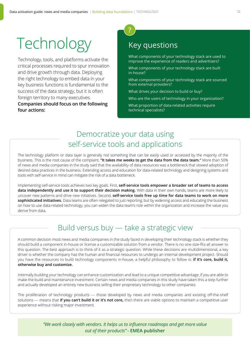# Technology

Technology, tools, and platforms activate the critical processes required to spur innovation and drive growth through data. Deploying the right technology to embed data in your key business functions is fundamental to the success of the data strategy, but it is often foreign territory to many executives.

#### **Companies should focus on the following four actions:**

# Key questions

**?**

What components of your technology stack are used to improve the experience of readers and advertisers?

What components of your technology stack are built in-house?

What components of your technology stack are sourced from external providers?

What drives your decision to build or buy?

Who are the users of technology in your organization?

What proportion of data-related activities require technical specialists?

# Democratize your data using self-service tools and applications

The technology platform or data layer is generally not something that can be easily used or accessed by the majority of the business. This is the root cause of the complaint, **"It takes me weeks to get the data from the data team."** More than 50% of news and media companies in the study said that the availability of data resources was a bottleneck that slowed adoption of desired data practices in the business. Extending access and education for data-related technology and designing systems and tools with self-service in mind can mitigate the risk of a data bottleneck.

Implementing self-service tools achieves two key goals. First, **self-service tools empower a broader set of teams to access data independently and use it to support their decision making.** With data in their own hands, teams are more likely to uncover new patterns and drive new initiatives. Second, **self-service tools free up time for data teams to work on more sophisticated initiatives.** Data teams are often relegated to just reporting, but by widening access and educating the business on how to use data-related technology, you can widen the data team's role within the organization and increase the value you derive from data.

# Build versus buy — take a strategic view

A common decision most news and media companies in the study faced in developing their technology stack is whether they should build a component in-house or license a customizable solution from a vendor. There is no one-size-fits-all answer to this question. The best approach is to think of it as a strategic question. While these decisions are multidimensional, a key driver is whether the company has the human and financial resources to undergo an internal development project. Should you have the resources to build technology components in-house, a helpful philosophy to follow is: **if it's core, build it, otherwise buy and customize.**

Internally building your technology can enhance customization and lead to a unique competitive advantage, if you are able to make the build and maintenance investment. Certain news and media companies in this study have taken this a step further and actually developed an entirely new business selling their proprietary technology to other companies.

The proliferation of technology products — those developed by news and media companies and existing off-the-shelf solutions — means that **if you can't build it or it's not core,** then there are viable options to maintain a competitive user experience without risking major investment.

> *"We work closely with vendors. It helps us to influence roadmaps and get more value out of their products"* **- EMEA publisher**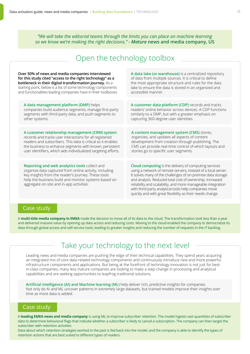*"We will take the editorial teams through the limits you can place on machine learning so we know we're making the right decisions."* **-** *Mature* **news and media company, US**

## Open the technology toolbox

| Over 50% of news and media companies interviewed                                                                                                                                                                                                                   | A data lake (or warehouse) is a centralized repository                                                                                                                                                                                                                                                                                                                                                                                  |
|--------------------------------------------------------------------------------------------------------------------------------------------------------------------------------------------------------------------------------------------------------------------|-----------------------------------------------------------------------------------------------------------------------------------------------------------------------------------------------------------------------------------------------------------------------------------------------------------------------------------------------------------------------------------------------------------------------------------------|
| for this study cited "access to the right technology" as a                                                                                                                                                                                                         | of data from multiple sources. It is critical to define                                                                                                                                                                                                                                                                                                                                                                                 |
| bottleneck in their digital transformation journey. As a                                                                                                                                                                                                           | the most appropriate structure and rules for the data                                                                                                                                                                                                                                                                                                                                                                                   |
| starting point, below is a list of some technology components                                                                                                                                                                                                      | lake to ensure the data is stored in an organized and                                                                                                                                                                                                                                                                                                                                                                                   |
| and functionalities leading companies have in their toolboxes.                                                                                                                                                                                                     | accessible manner.                                                                                                                                                                                                                                                                                                                                                                                                                      |
| A data management platform (DMP) helps                                                                                                                                                                                                                             | A customer data platform (CDP) records and tracks                                                                                                                                                                                                                                                                                                                                                                                       |
| companies build audience segments, manage first-party                                                                                                                                                                                                              | readers' online behavior across devices. A CDP functions                                                                                                                                                                                                                                                                                                                                                                                |
| segments with third-party data, and push segments to                                                                                                                                                                                                               | similarly to a DMP, but with a greater emphasis on                                                                                                                                                                                                                                                                                                                                                                                      |
| other systems.                                                                                                                                                                                                                                                     | capturing 360-degree user identities.                                                                                                                                                                                                                                                                                                                                                                                                   |
| A customer relationship management (CRM) system                                                                                                                                                                                                                    | A content management system (CMS) stores,                                                                                                                                                                                                                                                                                                                                                                                               |
| records and tracks user interactions for all registered                                                                                                                                                                                                            | organizes, and updates all aspects of content                                                                                                                                                                                                                                                                                                                                                                                           |
| readers and subscribers. This data is critical as it enables                                                                                                                                                                                                       | development from creation through publishing. The                                                                                                                                                                                                                                                                                                                                                                                       |
| the business to enhance segments with known, persistent                                                                                                                                                                                                            | CMS can provide real-time control of which layouts and                                                                                                                                                                                                                                                                                                                                                                                  |
| user identifiers, which aids individualized targeting efforts.                                                                                                                                                                                                     | stories go to specific user segments.                                                                                                                                                                                                                                                                                                                                                                                                   |
| Reporting and web analytics tools collect and<br>organize data captured from online activity, including<br>key insights from the reader's journey. These tools<br>help the business build and monitor systems based on<br>aggregate on-site and in-app activities. | Cloud computing is the delivery of computing services<br>using a network of remote servers, instead of a local server.<br>It solves many of the challenges of on-premise data storage<br>and analysis. Reduced total cost of ownership, increased<br>reliability and scalability, and more manageable integration<br>with third-party analytical tools help companies move<br>quickly and with great flexibility as their needs change. |

#### Case study

A **multi-title media company in EMEA** made the decision to move all of its data to the cloud. The transformation took less than a year and delivered massive value by opening up data access and reducing costs. Moving to the cloud enabled the company to democratize its data through global access and self-service tools, leading to greater insights and reducing the number of requests in the IT backlog.

## Take your technology to the next level

Leading news and media companies are pushing the edge of their technical capabilities. They spend years acquiring an integrated mix of core data-related technology components and continuously introduce new and more powerful infrastructure components and applications. But being at the forefront of technology innovation is not just for bestin-class companies, many less mature companies are looking to make a step-change in processing and analytical capabilities and are seeking opportunities to leapfrog traditional solutions.

**Artificial intelligence (AI) and Machine learning (ML)** help deliver rich, predictive insights for companies. Not only do AI and ML uncover patterns in extremely large datasets, but trained models improve their insights over time as more data is added.

#### Case study

A **leading EMEA news and media company** is using ML to improve subscriber retention. The model ingests vast quantities of subscriber data to determine behavioral flags that indicate whether a subscriber is likely to cancel a subscription. The company can then target the subscriber with retention activities.

Data about which retention strategies worked in the past is fed back into the model, and the company is able to identify the types of retention actions that are best suited to different types of readers.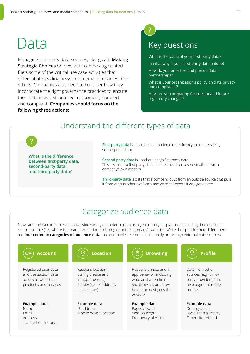# Data

**?**

Managing first-party data sources, along with **Making Strategic Choices** on how data can be augmented fuels some of the critical use case activities that differentiate leading news and media companies from others. Companies also need to consider how they incorporate the right governance practices to ensure their data is well-structured, responsibly handled, and compliant. **Companies should focus on the following three actions:**

# **?**

# Key questions

What is the value of your first-party data?

In what way is your first-party data unique?

How do you prioritize and pursue data partnerships?

What is your organization's policy on data privacy and compliance?

How are you preparing for current and future regulatory changes?

## Understand the different types of data

**What is the difference between first-party data, second-party data, and third-party data?**

**First-party data** is information collected directly from your readers (e.g., subscription data).

**Second-party data** is another entity's first-party data. This is similar to first-party data, but it comes from a source other than a company's own readers.

**Third-party data** is data that a company buys from an outside source that pulls it from various other platforms and websites where it was generated.

## Categorize audience data

News and media companies collect a wide variety of audience data using their analytics platform, including time on site or referral source (i.e., where the reader was prior to clicking onto the company's website). While the specifics may differ, there are **four common categories of audience data** that companies either collect directly or through external data sources:

#### **Account** 【 ② 】 Location 【 ( e ) Browsing 】 ( ① ) Profile سی Reader's location Reader's on-site and in-Data from other Registered user data and transaction data during on-site and app behavior, including sources (e.g., thirdacross all websites, in-app browsing what and when he or party providers) that products, and services activity (i.e., IP address, she browses, and how help augment reader geolocation) he or she navigates the profiles website **Example data Example data Example data Example data** IP address Name Pages viewed Demographics Mobile device location Email Social media activity Session length Other sites visited Frequency of visits Address Transaction history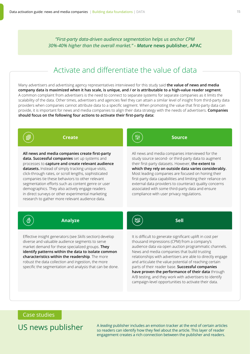*"First-party data-driven audience segmentation helps us anchor CPM 30%-40% higher than the overall market."* **-** *Mature* **news publisher, APAC**

## Activate and differentiate the value of data

Many advertisers and advertising agency representatives interviewed for this study said **the value of news and media company data is maximized when it has scale, is unique, and / or is attributable to a high-value reader segment**. A common complaint from advertisers is the need to connect to separate systems for separate companies as it limits the scalability of the data. Other times, advertisers and agencies feel they can attain a similar level of insight from third-party data providers when companies cannot attribute data to a specific segment. When promoting the value that first-party data can provide, it is important for news and media companies to align their data strategy with the needs of advertisers. **Companies should focus on the following four actions to activate their first-party data:**



**Create**

**Source**

All news and media companies interviewed for the study source second- or third-party data to augment their first-party datasets. However, **the extent to which they rely on outside data varies considerably.** Most leading companies are focused on honing their first-party data capabilities and limiting their reliance on external data providers to counteract quality concerns associated with some third-party data and ensure compliance with user privacy regulations.



#### **Analyze**

Effective insight generators (see *Skills* section) develop diverse and valuable audience segments to serve market demand for these specialized groups. **They identify patterns within the data to isolate common characteristics within the readership**. The more robust the data collection and ingestion, the more specific the segmentation and analysis that can be done. ক্লে

**Sell**

It is difficult to generate significant uplift in cost per thousand impressions (CPM) from a company's audience data via open auction programmatic channels. News and media companies that build trusting relationships with advertisers are able to directly engage and articulate the value potential of reaching certain parts of their reader base. **Successful companies have proven the performance of their data** through A/B testing, and they work with advertisers to identify campaign-level opportunities to activate their data.

#### Case studies

US news publisher

A *leading* publisher includes an emotion tracker at the end of certain articles so readers can identify how they feel about the article. This layer of reader engagement creates a rich connection between the publisher and readers.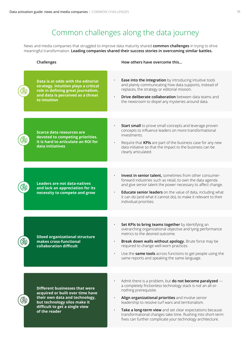# Common challenges along the data journey

News and media companies that struggled to improve data maturity shared **common challenges** in trying to drive meaningful transformation. **Leading companies shared their success stories in overcoming similar battles.**

|          | Challenges                                                                                                                                                                                     | How others have overcome this                                                                                                                                                                                                                                                                                                                                                                                                                                   |
|----------|------------------------------------------------------------------------------------------------------------------------------------------------------------------------------------------------|-----------------------------------------------------------------------------------------------------------------------------------------------------------------------------------------------------------------------------------------------------------------------------------------------------------------------------------------------------------------------------------------------------------------------------------------------------------------|
|          | Data is at odds with the editorial<br>strategy. Intuition plays a critical<br>role in defining great journalism,<br>and data is perceived as a threat<br>to intuition                          | Ease into the integration by introducing intuitive tools<br>and plainly communicating how data supports, instead of<br>replaces, the strategy or editorial mission.<br>Drive deliberate collaboration between data teams and<br>the newsroom to dispel any mysteries around data.                                                                                                                                                                               |
|          |                                                                                                                                                                                                |                                                                                                                                                                                                                                                                                                                                                                                                                                                                 |
|          | <b>Scarce data resources are</b><br>devoted to competing priorities.<br>It is hard to articulate an ROI for<br>data initiatives                                                                | Start small to prove small concepts and leverage proven<br>concepts to influence leaders on more transformational<br>investments.<br>Require that KPIs are part of the business case for any new<br>data initiative so that the impact to the business can be<br>clearly articulated.                                                                                                                                                                           |
|          |                                                                                                                                                                                                |                                                                                                                                                                                                                                                                                                                                                                                                                                                                 |
|          | <b>Leaders are not data-natives</b><br>and lack an appreciation for its<br>necessity to compete and grow                                                                                       | Invest in senior talent, sometimes from other consumer-<br>forward industries such as retail, to own the data agenda<br>and give senior talent the power necessary to affect change.<br>Educate senior leaders on the value of data, including what<br>it can do (and what it cannot do), to make it relevant to their<br>individual priorities.                                                                                                                |
|          |                                                                                                                                                                                                |                                                                                                                                                                                                                                                                                                                                                                                                                                                                 |
| <u>ල</u> | <b>Siloed organizational structure</b><br>makes cross-functional<br>collaboration difficult                                                                                                    | Set KPIs to bring teams together by identifying an<br>overarching organizational objective and tying performance<br>metrics to the desired outcome.<br>Break down walls without apology. Brute force may be<br>required to change well-worn practices.<br>Use the same tools across functions to get people using the<br>same reports and speaking the same language.                                                                                           |
|          |                                                                                                                                                                                                |                                                                                                                                                                                                                                                                                                                                                                                                                                                                 |
|          | <b>Different businesses that were</b><br>acquired or built over time have<br>their own data and technology,<br>but technology silos make it<br>difficult to get a single view<br>of the reader | Admit there is a problem, but <b>do not become paralyzed</b> $-$<br>a completely frictionless technology stack is not an all-or-<br>nothing prerequisite.<br>Align organizational priorities and involve senior<br>leadership to resolve turf wars and territorialism.<br>Take a long-term view and set clear expectations because<br>transformational changes take time. Rushing into short-term<br>fixes can further complicate your technology architecture. |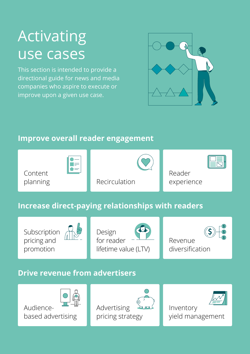# <span id="page-16-0"></span>Activating use cases

This section is intended to provide a directional guide for news and media companies who aspire to execute or improve upon a given use case.



# **Improve overall reader engagement**



# **Increase direct-paying relationships with readers**

Subscription pricing and promotion



Design for reader lifetime value (LTV)





# **Drive revenue from advertisers**

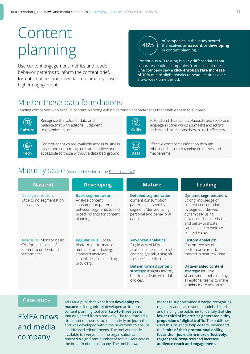# Content planning

Use content engagement metrics and reader behavior patterns to inform the content brief, format, channel, and calendar to ultimately drive higher engagement.

# 48%

of companies in the study scored themselves as **nascent** or **developing** in content planning.

Continuous A/B testing is a key differentiator that separates leading companies from nascent ones. One company saw a **click-through rate increase of 70%** due to slight tweaks to headline titles over a two-week time period.

# Master these data foundations

Leading companies who excel in content planning exhibit common characteristics that enable them to succeed.



Recognize the value of data and balance that with editorial judgment **Culture** to optimize its use.

垂

Content analytics are available across business areas, and supporting tools are intuitive and accessible to those without a data background. **Tech Data** mechanisms.



Editorial and data teams collaborate and speak one language; in other words, journalists and editors **Skills** understand the data and how to use it effectively.



Effective content classification through robust and accurate tagging processes and

# Maturity scale (extended version in the [Diagnostic tool](http://digitalmaturitybenchmark.withgoogle.com/news))

| <b>Nascent</b>                                                                                      | <b>Developing</b>                                                                                                                            | <b>Mature</b>                                                                                                                                   | <b>Leading</b>                                                                                                                                                                                                          |
|-----------------------------------------------------------------------------------------------------|----------------------------------------------------------------------------------------------------------------------------------------------|-------------------------------------------------------------------------------------------------------------------------------------------------|-------------------------------------------------------------------------------------------------------------------------------------------------------------------------------------------------------------------------|
| No segmentation:<br>Little to no segmentation<br>of readers.                                        | <b>Basic segmentation:</b><br>Analyze content<br>consumption patterns<br>between segments to find<br>broad insights for content<br>planning. | <b>Detailed segmentation:</b><br>content consumption<br>patterns analyzed by<br>segment (derived using<br>personal and behavioral<br>data).     | <b>Dynamic segmentation:</b><br>Strong knowledge of<br>content consumption<br>by segment (derived<br>dynamically using<br>advanced characteristics<br>and behavioral data)<br>can be used to indicate<br>content value. |
| <b>Basic KPIs: Monitor basic</b><br>KPIs for each piece of<br>content to understand<br>performance. | <b>Regular KPIs: Cross-</b><br>platform performance<br>metrics tracked using<br>standard analytics<br>capabilities from leading              | <b>Advanced analytics:</b><br>Single view of KPIs<br>available for each piece of<br>content, typically using off-<br>the-shelf analytics tools. | <b>Custom analytics:</b><br>Customized set of<br>performance metrics<br>tracked in near real-time.                                                                                                                      |
|                                                                                                     | providers.                                                                                                                                   | <b>Data-informed content</b><br>strategy: Insights inform,<br>but do not lead, editorial<br>choices.                                            | Data-enabled content<br>strategy: Intuitive<br>visualization tools used by<br>all editorial teams to make<br>insights more accessible.                                                                                  |

#### Case study

EMEA news and media company

An EMEA publisher went from **developing to mature** as it organically developed an in-house content planning tool over **two-to-three years** that originated from a hack day. The tool tracked a simple set of metrics focused entirely on journalism and was developed within the newsroom to ensure it addressed editors' needs. The tool was made available to everyone in the organisation and reached a significant number of active users across the breadth of the company. The tool is now a

means to support wider strategy, recognizing regular readers as revenue models shifted, and helping the publisher to identify that **the lower third of its articles generated a tiny proportion of digital traffic.** The publisher used this insight to help editors understand the **limits of their promotional ability, focus their journalism more effectively, target their resources** and **increase audience reach and engagement.**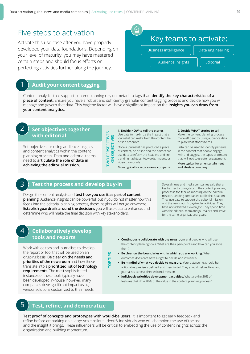### Five steps to activation

Activate this use case after you have properly developed your data foundations. Depending on your level of maturity, you may have mastered certain steps and should focus efforts on perfecting activities further along the journey.

#### 1 **Audit your content tagging**

Content analytics that support content planning rely on metadata tags that **identify the key characteristics of a piece of content.** Ensure you have a robust and sufficiently granular content tagging process and decide how you will manage and govern that data. This hygiene factor will have a significant impact on the **insights you can draw from your content analytics.**

#### **Set objectives together with editorial**

 $\mathcal{P}$ 

4

Set objectives for using audience insights and content analytics within the content planning process. Data and editorial teams need to **articulate the role of data in achieving the editorial mission.** 

#### **1. Decide HOW to tell the stories**

Use data to maximize the impact that a journalist can make from the content he or she produces.

Once a journalist has produced a piece of content, he or she and the editors can use data to inform the headline and link trending hashtags, keywords, images, or video thumbnails.

More typical for a core news company

#### **2. Decide WHAT stories to tell**

Make the content planning process more efficient by using audience data to plan what stories to tell.

Data can be used to identify patterns in the content that people engage with and suggest the types of content that will lead to greater engagement.

More typical for an entertainment and lifestyle company

#### 3 **Test the process and develop buy-in**

Design the content analysis and **test how you use it as part of content planning.** Audience insights can be powerful, but if you do not master how this feeds into the editorial planning process, these insights will not go anywhere. **Establish guardrails around the decisions** you will use data to enhance, and determine who will make the final decision with key stakeholders.

Several news and media companies said that a key barrier to using data in the content planning process is the fear of imposing on the editorial mission. Leading companies tackle this head on. They use data to support the editorial mission and the newsroom's day-to-day activities. They have not achieved it overnight. They spend time with the editorial team and journalists and strive for the same organizational goals.

#### **Collaboratively develop tools and reports**

Work with editors and journalists to develop the report or tool that will be used on an ongoing basis. **Be clear on the needs and priorities of the newsroom** and how those translate into a **prioritized list of technology requirements.** The most sophisticated instances of these tools typically have been developed in-house; however, many companies drive significant impact using vendor solutions customized to their needs.

- **• Continuously collaborate with the newsroom** and people who will use the content planning tools. What are their pain points and how can you solve them?
- **• Be clear on the boundaries within which you are working.** What outcomes does data have a right to decide and influence?
- **• Be mindful of what you decide to measure.** Your data points should be actionable, precisely defined, and meaningful. They should help editors and journalists achieve their editorial mission.
- **• Judiciously prioritize development activities.** What are the 20% of features that drive 80% of the value in the content planning process?

### 5 **Test, refine, and democratize**

**Test proof of concepts and prototypes with would-be users.** It is important to get early feedback and refine before embarking on a large-scale rollout. Identify individuals who will champion the use of the tool and the insight it brings. These influencers will be critical to embedding the use of content insights across the organization and building momentum.

**TOP TIPS**

TIPS  $\overline{e}$ 

**TWO PERSPECTIVES ON OBJECTIVES**

 $\overline{a}$ TWO<sub>I</sub>

# Key teams to activate: Business intelligence  $||$  Data engineering Audience insights | | Editorial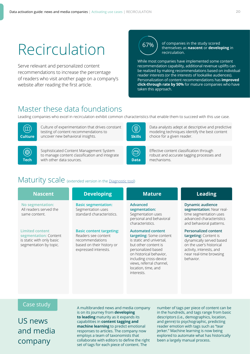# Recirculation

Serve relevant and personalized content recommendations to increase the percentage of readers who visit another page on a company's website after reading the first article.

67%

of companies in the study scored themselves as **nascent** or **developing** in recirculation.

While most companies have implemented some content recommendation capability, additional revenue uplifts can be realized by making recommendations based on individual reader interests (or the interests of lookalike audiences). Personalization of content recommendations has **improved click-through rate by 50%** for mature companies who have taken this approach.

# Master these data foundations

Leading companies who excel in recirculation exhibit common characteristics that enable them to succeed with this use case.



Culture of experimentation that drives constant testing of content recommendations to **Culture** uncover new behavioral insights.

讏

Sophisticated Content Management System to manage content classification and integrate with other data sources. **Tech Data** mechanisms.



Data analysts adept at descriptive and predictive modeling techniques identify the best content **Skills** choice for a given reader.



Effective content classification through robust and accurate tagging processes and

## Maturity scale (extended version in the [Diagnostic tool](http://digitalmaturitybenchmark.withgoogle.com/news))

| <b>Nascent</b>                                                                                         | <b>Developing</b>                                                                                                              | <b>Mature</b>                                                                                                                                                                                                                                       | <b>Leading</b>                                                                                                                                                                   |
|--------------------------------------------------------------------------------------------------------|--------------------------------------------------------------------------------------------------------------------------------|-----------------------------------------------------------------------------------------------------------------------------------------------------------------------------------------------------------------------------------------------------|----------------------------------------------------------------------------------------------------------------------------------------------------------------------------------|
| No segmentation:<br>All readers served the<br>same content.                                            | <b>Basic segmentation:</b><br>Segmentation uses<br>standard characteristics.                                                   | Advanced<br>segmentation:<br>Segmentation uses<br>personal and behavioral<br>characteristics.                                                                                                                                                       | <b>Dynamic audience</b><br>segmentation: Near real-<br>time segmentation uses<br>advanced characteristics<br>and behavioral patterns.                                            |
| <b>Limited content</b><br>segmentation: Content<br>is static with only basic<br>segmentation by topic. | <b>Basic content targeting:</b><br>Readers see content<br>recommendations<br>based on their history or<br>expressed interests. | <b>Automated content</b><br>targeting: Some content<br>is static and universal,<br>but other content is<br>personalized based<br>on historical behavior,<br>including cross-device<br>views, referral channel,<br>location, time, and<br>interests. | <b>Personalized content</b><br>targeting: Content is<br>dynamically served based<br>on the user's historical<br>activity, interests, and<br>near real-time browsing<br>behavior. |

#### Case study

US news and media company

A multibranded news and media company is on its journey from **developing to leading** maturity as it expands its capabilities in **content tagging and machine learning** to predict emotional responses to articles. The company now employs a team of taxonomists that collaborate with editors to define the right set of tags for each piece of content. The

number of tags per piece of content can be in the hundreds, and tags range from basic descriptors (i.e., demographics, location, and genre) to psychographic, predicting reader emotion with tags such as "tear jerker." Machine learning is now being explored to automate what has historically been a largely manual process.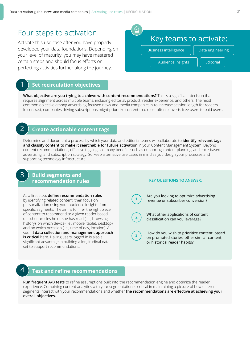### Four steps to activation

Activate this use case after you have properly developed your data foundations. Depending on your level of maturity, you may have mastered certain steps and should focus efforts on perfecting activities further along the journey.

#### **Set recirculation objectives**

**What objective are you trying to achieve with content recommendations?** This is a significant decision that requires alignment across multiple teams, including editorial, product, reader experience, and others. The most common objective among advertising-focused news and media companies is to increase session length for readers. In contrast, companies driving subscriptions might prioritize content that most often converts free users to paid users.

### 2 **Create actionable content tags**

Determine and document a process by which your data and editorial teams will collaborate to **identify relevant tags and classify content to make it searchable for future activation** in your Content Management System. Beyond content recommendations, effective tagging has many benefits such as enhancing content planning, audience-based advertising, and subscription strategy. So keep alternative use cases in mind as you design your processes and supporting technology infrastructure.

#### **Build segments and recommendation rules**

As a first step, **define recommendation rules** by identifying related content, then focus on personalization using your audience insights from specific segments. The aim is to infer the right piece of content to recommend to a given reader based on other articles he or she has read (i.e., browsing history), on which device (i.e., mobile, tablet, desktop), and on which occasion (i.e., time of day, location). A sound **data collection and management approach is critical** here. Having users logged in is also a significant advantage in building a longitudinal data set to support recommendations.

#### **KEY QUESTIONS TO ANSWER:**

Are you looking to optimize advertising revenue or subscriber conversion?

**2**

**1**

**3**

What other applications of content classification can you leverage?

How do you wish to prioritize content: based on promoted stories, other similar content, or historical reader habits?

3

#### 4 **Test and refine recommendations**

**Run frequent A/B tests** to refine assumptions built into the recommendation engine and optimize the reader experience. Combining content analytics with your segmentation is critical in maintaining a picture of how different segments interact with your recommendations and whether **the recommendations are effective at achieving your overall objectives.**

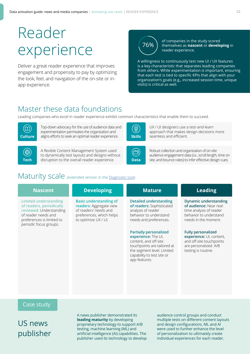# Reader experience

Deliver a great reader experience that improves engagement and propensity to pay by optimizing the look, feel, and navigation of the on-site or inapp experience.

76%

of companies in the study scored themselves as **nascent** or **developing** in reader experience.

A willingness to continuously test new UI / UX features is a key characteristic that separates leading companies from others. While experimentation is important, ensuring that each test is tied to specific KPIs that align with your organization's goals (e.g., increased session time, unique visits) is critical as well.

# Master these data foundations

Leading companies who excel in reader experience exhibit common characteristics that enable them to succeed.



Top-down advocacy for the use of audience data and experimentation permeates the organization and **Culture** aligns efforts to seek an optimal reader experience. Skills

(尊)

A flexible Content Management System used to dynamically test layouts and designs without disruption to the overall reader experience. **Tech Data**



UX / UI designers use a test-and-learn approach that makes design decisions more seamless and efficient.



Robust collection and organization of on-site audience engagement data (i.e., scroll length, time on site, and bounce rates) to infer effective design cues.

# Maturity scale (extended version in the [Diagnostic tool](http://digitalmaturitybenchmark.withgoogle.com/news))

| <b>Nascent</b>                                                                                                                                             | <b>Developing</b>                                                                                                                     | <b>Mature</b>                                                                                                                                                                             | <b>Leading</b>                                                                                                                       |
|------------------------------------------------------------------------------------------------------------------------------------------------------------|---------------------------------------------------------------------------------------------------------------------------------------|-------------------------------------------------------------------------------------------------------------------------------------------------------------------------------------------|--------------------------------------------------------------------------------------------------------------------------------------|
| Limited understanding<br>of readers, periodically<br>reviewed: Understanding<br>of reader needs and<br>preferences is limited to<br>periodic focus groups. | <b>Basic understanding of</b><br>readers: Aggregate view<br>of readers' needs and<br>preferences, which helps<br>to optimize UX / UI. | <b>Detailed understanding</b><br>of readers: Sophisticated<br>analysis of reader<br>behavior to understand<br>needs and preferences.                                                      | <b>Dynamic understanding</b><br>of audience: Near real-<br>time analysis of reader<br>behavior to understand<br>needs in the moment. |
|                                                                                                                                                            |                                                                                                                                       | <b>Partially personalized</b><br>experience: The UI,<br>content, and off-site<br>touchpoints are tailored at<br>the segment level. Limited<br>capability to test site or<br>app features. | <b>Fully personalized</b><br>experience: UI, content,<br>and off-site touchpoints<br>are personalized. A/B<br>testing is routine.    |

#### Case study

US news publisher A news publisher demonstrated its **leading maturity** by developing proprietary technology to support A/B testing, machine learning (ML) and artificial intelligence (AI) capabilities. The publisher used its technology to develop audience control groups and conduct multiple tests on different content layouts and design configurations. ML and AI were used to further enhance the level of personalization to ultimately create individual experiences for each reader.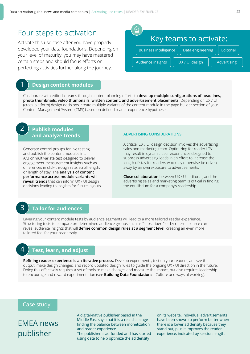### Four steps to activation

Activate this use case after you have properly developed your data foundations. Depending on your level of maturity, you may have mastered certain steps and should focus efforts on perfecting activities further along the journey.

#### 1 **Design content modules**

Collaborate with editorial teams through content planning efforts to **develop multiple configurations of headlines, photo thumbnails, video thumbnails, written content, and advertisement placements.** Depending on UX / UI (cross-platform) design decisions, create multiple variants of the content module in the page builder section of your Content Management System (CMS) based on defined reader experience hypotheses.

### **Publish modules and analyze trends**

Generate control groups for live testing, and publish the content modules in an A/B or multivariate test designed to deliver engagement measurement insights such as differences in click-through rate, scroll length, or length of stay. The **analysis of content performance across module variants will reveal trends** that can inform UX / UI design decisions leading to insights for future layouts.

#### **ADVERTISING CONSIDERATIONS**

A critical UX / UI design decision involves the advertising sales and marketing team. Optimizing for reader LTV may result in dynamic user experiences designed to suppress advertising loads in an effort to increase the length of stay for readers who may otherwise be driven away by an overexposure to advertisements.

**Close collaboration** between UX / UI, editorial, and the advertising sales and marketing team is critical in finding the equilibrium for a company's readership.

#### 3

4

2

#### **Tailor for audiences**

Layering your content module tests by audience segments will lead to a more tailored reader experience. Structuring tests to compare predetermined audience groups such as "subscribers" or by referral source can reveal audience insights that will **define common design rules at a segment level**, creating an even more tailored feel for your readership.

### **Test, learn, and adjust**

**Refining reader experience is an iterative process.** Develop experiments, test on your readers, analyze the output, make design changes, and record updated design rules to guide the ongoing UX / UI direction in the future. Doing this effectively requires a set of tools to make changes and measure the impact, but also requires leadership to encourage and reward experimentation (see **Building Data Foundations** - Culture and ways of working).

#### Case study

EMEA news publisher

A digital-native publisher based in the Middle East says that it is a real challenge finding the balance between monetization and reader experience.

The publisher is ad-funded and has started using data to help optimize the ad density

on its website. Individual advertisements have been shown to perform better when there is a lower ad density because they stand out, plus it improves the reader experience, indicated by session length.

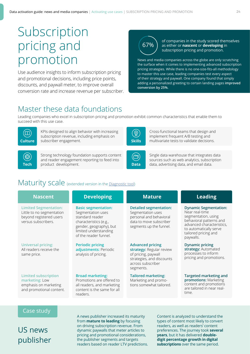# Subscription pricing and promotion

Use audience insights to inform subscription pricing and promotional decisions, including price points, discounts, and paywall meter, to improve overall conversion rate and increase revenue per subscriber.

# 67%

of companies in the study scored themselves as either or **nascent** or **developing** in subscription pricing and promotion.

News and media companies across the globe are only scratching the surface when it comes to implementing advanced subscription pricing strategies. While there is no one-size-fits-all methodology to master this use case, leading companies test every aspect of their strategy and paywall. One company found that simply adding a personalized greeting to certain landing pages **improved conversion by 25%**.

# Master these data foundations

Leading companies who excel in subscription pricing and promotion exhibit common characteristics that enable them to succeed with this use case.



KPIs designed to align behavior with increasing subscription revenue, including emphasis on **Culture** subscriber engagement.



Strong technology foundation supports content and reader engagement reporting to feed into product development. **Tech Data** data, advertising data, and email data.



Cross-functional teams that design and implement frequent A/B testing and **Skills** multivariate tests to validate decisions.



Single data warehouse that integrates data sources such as web analytics, subscription

# Maturity scale (extended version in the [Diagnostic tool](http://digitalmaturitybenchmark.withgoogle.com/news))

| <b>Nascent</b>                                                                                              | <b>Developing</b>                                                                                                                                                         | <b>Mature</b>                                                                                                                             | <b>Leading</b>                                                                                                                                                                               |
|-------------------------------------------------------------------------------------------------------------|---------------------------------------------------------------------------------------------------------------------------------------------------------------------------|-------------------------------------------------------------------------------------------------------------------------------------------|----------------------------------------------------------------------------------------------------------------------------------------------------------------------------------------------|
| <b>Limited Segmentation:</b><br>Little to no segmentation<br>beyond registered users<br>versus subscribers. | <b>Basic segmentation:</b><br>Segmentation uses<br>standard reader<br>characteristics (e.g.,<br>gender, geography), but<br>limited understanding<br>of the reader funnel. | <b>Detailed segmentation:</b><br>Segmentation uses<br>personal and behavioral<br>data to move subscriber<br>segments up the funnel.       | <b>Dynamic Segmentation:</b><br>Near real-time<br>segmentation, using<br>behavioral patterns and<br>advanced characteristics,<br>to automatically serve<br>tailored pricing and<br>paywalls. |
| <b>Universal pricing:</b><br>All readers receive the<br>same price.                                         | <b>Periodic pricing</b><br>adjustments: Periodic<br>analysis of pricing.                                                                                                  | <b>Advanced pricing</b><br>strategy: Regular review<br>of pricing, paywall<br>strategies, and discounts<br>across subscriber<br>segments. | <b>Dynamic pricing</b><br>strategy: Automated<br>processes to inform<br>pricing and promotions.                                                                                              |
| <b>Limited subscription</b><br>marketing: Low<br>emphasis on marketing<br>and promotional content.          | <b>Broad marketing:</b><br>Promotions are offered to<br>all readers, and marketing<br>content is the same for all<br>readers.                                             | <b>Tailored marketing:</b><br>Marketing and promo-<br>tions somewhat tailored.                                                            | <b>Targeted marketing and</b><br>promotions: Marketing<br>content and promotions<br>are tailored in near real-<br>time.                                                                      |
|                                                                                                             |                                                                                                                                                                           |                                                                                                                                           |                                                                                                                                                                                              |
| Case study                                                                                                  |                                                                                                                                                                           |                                                                                                                                           |                                                                                                                                                                                              |

# US news publisher

A news publisher increased its maturity from **mature to leading** by focusing on driving subscription revenue. From dynamic paywalls that meter articles to pricing and promotional considerations, the publisher segments and targets readers based on reader LTV predictions. Content is analyzed to understand the types of content most likely to convert readers, as well as readers' content preferences. The journey took **several years**, but it has delivered **doubledigit percentage growth in digital subscriptions** over the same period.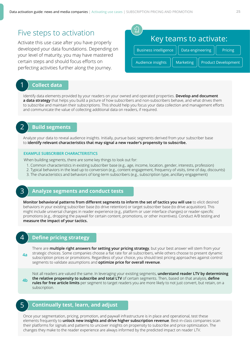### Five steps to activation

Activate this use case after you have properly developed your data foundations. Depending on your level of maturity, you may have mastered certain steps and should focus efforts on perfecting activities further along the journey.



### 1 **Collect data**

Identify data elements provided by your readers on your owned and operated properties. **Develop and document a data strategy** that helps you build a picture of how subscribers and non-subscribers behave, and what drives them to subscribe and maintain their subscriptions. This should help you focus your data collection and management efforts and communicate the value of collecting additional data on readers, if required.

### 2 **Build segments**

Analyze your data to reveal audience insights. Initially, pursue basic segments derived from your subscriber base to **identify relevant characteristics that may signal a new reader's propensity to subscribe.**

#### **EXAMPLE SUBSCRIBER CHARACTERISTICS**

When building segments, there are some key things to look out for:

- 1. Common characteristics in existing subscriber base (e.g., age, income, location, gender, interests, profession)
- 2. Typical behaviors in the lead up to conversion (e.g., content engagement, frequency of visits, time of day, discounts)
- 3. The characteristics and behaviors of long-term subscribers (e.g., subscription type, ancillary engagement)

#### 3 **Analyze segments and conduct tests**

**Monitor behavioral patterns from different segments to inform the set of tactics you will use to elicit desired** behaviors in your existing subscriber base (to drive retention) or target subscriber base (to drive acquisition). This might include universal changes in reader experience (e.g., platform or user interface changes) or reader-specific promotions (e.g., dropping the paywall for certain content, promotions, or other incentives). Conduct A/B testing and **measure the impact of your tactics.** 

#### 4 **Define pricing strategy**

There are **multiple right answers for setting your pricing strategy**, but your best answer will stem from your strategic choices. Some companies choose a flat rate for all subscribers, while others choose to present dynamic subscription prices or promotions. Regardless of your choice, you should test pricing approaches against control segments to validate assumptions and **optimize price for overall revenue**. **4a**

Not all readers are valued the same. In leveraging your existing segments, **understand reader LTV by determining the relative propensity to subscribe and total LTV** of certain segments. Then, based on that analysis, **define rules for free article limits** per segment to target readers you are more likely to not just convert, but retain, on a subscription. **4b**

#### 5 **Continually test, learn, and adjust**

Once your segmentation, pricing, promotion, and paywall infrastructure is in place and operational, test these elements frequently to **unlock new insights and drive higher subscription revenue**. Best-in-class companies scan their platforms for signals and patterns to uncover insights on propensity to subscribe and price optimization. The changes they make to the reader experience are always informed by the predicted impact on reader LTV.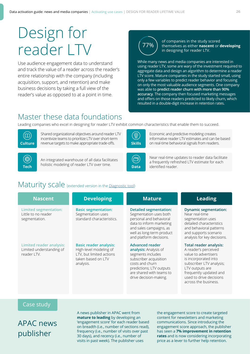# Design for reader LTV

Use audience engagement data to understand and track the value of a reader across the reader's entire relationship with the company (including acquisition, support, and retention) and make business decisions by taking a full view of the reader's value as opposed to at a point in time.



of companies in the study scored themselves as either **nascent** or **developing** in designing for reader LTV.

While many news and media companies are interested in using reader LTV, some are wary of the investment required to aggregate data and design an algorithm to determine a reader LTV score. Mature companies in the study started small, using only a few variables to predict reader behavior and focusing on only the most valuable audience segments. One company was able to **predict reader churn with more than 90% accuracy**. The company then focused marketing messages and offers on those readers predicted to likely churn, which resulted in a double-digit increase in retention rates.

# Master these data foundations

Leading companies who excel in designing for reader LTV exhibit common characteristics that enable them to succeed.



Shared organizational objectives around reader LTV incentivize teams to prioritize LTV over short-term **Culture** revenue targets to make appropriate trade-offs.



Economic and predictive modeling creates informative reader LTV estimates and can be based **Skills** on real-time behavioral signals from readers.



An integrated warehouse of all data facilitates **Tech** bolistic modeling of reader LTV over time. **Data** identified reader.



Near real-time updates to reader data facilitate a frequently refreshed LTV estimate for each

# Maturity scale (extended version in the [Diagnostic tool](http://digitalmaturitybenchmark.withgoogle.com/news))

| <b>Nascent</b>                                                       | <b>Developing</b>                                                                                                      | <b>Mature</b>                                                                                                                                                                                       | <b>Leading</b>                                                                                                                                                                                                                    |
|----------------------------------------------------------------------|------------------------------------------------------------------------------------------------------------------------|-----------------------------------------------------------------------------------------------------------------------------------------------------------------------------------------------------|-----------------------------------------------------------------------------------------------------------------------------------------------------------------------------------------------------------------------------------|
| <b>Limited segmentation:</b><br>Little to no reader<br>segmentation. | <b>Basic segmentation:</b><br>Segmentation uses<br>standard characteristics.                                           | <b>Detailed segmentation:</b><br>Segmentation uses both<br>personal and behavioral<br>data to inform marketing<br>and sales campaigns, as<br>well as long-term product<br>and platform decisions.   | <b>Dynamic segmentation:</b><br>Near real-time<br>segmentation uses<br>detailed characteristics<br>and behavioral patterns<br>and supports scenario<br>analysis for key decisions.                                                |
| Limited reader analysis:<br>Limited understanding of<br>reader LTV.  | <b>Basic reader analysis:</b><br>High-level modeling of<br>LTV, but limited actions<br>taken based on LTV<br>analysis. | <b>Advanced reader</b><br>analysis: Analysis of<br>segments includes<br>subscriber acquisition<br>costs and churn<br>predictions; LTV outputs<br>are shared with teams to<br>drive decision-making. | <b>Total reader analysis:</b><br>A reader's perceived<br>value to advertisers<br>is incorporated into<br>subscriber LTV analysis;<br>LTV outputs are<br>frequently updated and<br>used to drive decisions<br>across the business. |

#### Case study

APAC news publisher

A news publisher in APAC went from **mature to leading** by developing an 'engagement score' for each reader based on breadth (i.e., number of sections read), frequency (i.e., number of visits over past 30 days), and recency (i.e., number of visits in past week). The publisher uses

the engagement score to create targeted content for newsletters and marketing communications. Since introducing the engagement score approach, the publisher has seen a **7% improvement in retention rates** and is now considering incorporating price as a lever to further help retention.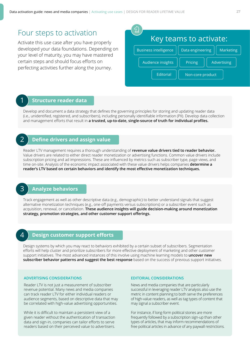### Four steps to activation

Activate this use case after you have properly developed your data foundations. Depending on your level of maturity, you may have mastered certain steps and should focus efforts on perfecting activities further along the journey.



### 1

#### **Structure reader data**

Develop and document a data strategy that defines the governing principles for storing and updating reader data (i.e., unidentified, registered, and subscribers), including personally identifiable information (PII). Develop data collection and management efforts that result in **a trusted, up-to-date, single-source of truth for individual profiles.**

#### **Define drivers and assign value**  $\mathcal{P}_{\mathcal{P}_{\mathcal{P}}}$

Reader LTV management requires a thorough understanding of **revenue value drivers tied to reader behavior.**  Value drivers are related to either direct reader monetization or advertising functions. Common value drivers include subscription pricing and ad impressions. These are influenced by metrics such as subscriber type, page views, and time on-site. Analysis of the economic impact associated with these value drivers helps companies **determine a reader's LTV based on certain behaviors and identify the most effective monetization techniques.** 

#### **Analyze behaviors**

Track engagement as well as other descriptive data (e.g., demographic) to better understand signals that suggest alternative monetization techniques (e.g., one-off payments versus subscriptions) or a subscriber event such as acquisition, renewal, or cancellation. **These audience insights will guide decision-making around monetization strategy, promotion strategies, and other customer support offerings.**

### 4

3

#### **Design customer support efforts**

Design systems by which you may react to behaviors exhibited by a certain subset of subscribers. Segmentation efforts will help cluster and prioritize subscribers for more effective deployment of marketing and other customer support initiatives. The most advanced instances of this involve using machine learning models to **uncover new subscriber behavior patterns and suggest the best response** based on the success of previous support initiatives.

#### **ADVERTISING CONSIDERATIONS EDITORIAL CONSIDERATIONS**

Reader LTV is not just a measurement of subscriber revenue potential. Many news and media companies can track reader LTV for either individual readers or audience segments, based on descriptive data that may be correlated with high-value advertising opportunities.

While it is difficult to maintain a persistent view of a given reader without the authentication of transaction data and sign-in, companies can tailor efforts to serve readers based on their perceived value to advertisers.

News and media companies that are particularly successful in leveraging reader LTV analysis also use the metric in content planning to both serve the preferences of high-value readers, as well as tag types of content that may signal a subscriber event.

For instance, if long-form political stories are more frequently followed by a subscription sign-up than other types of articles, that may inform recommendations of free political articles in advance of any paywall restrictions.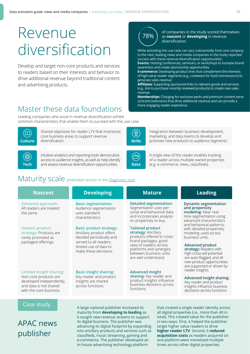# Revenue r<sub>8%</sub> diversification

Develop and target non-core products and services to readers based on their interests and behavior to drive additional revenue beyond traditional content and advertising products.

# Master these data foundations

Leading companies who excel in revenue diversification exhibit common characteristics that enable them to succeed with this use case.



Shared objectives for reader LTV that incentivize core business areas to support revenue **Culture** diversification.



Intuitive analytics and reporting tools democratize access to audience insights, as well as help identify and assess revenue diversification opportunities. **Tech Data** (e.g. e-commerce, news, classifieds).

# Maturity scale (extended version in the [Diagnostic tool](http://digitalmaturitybenchmark.withgoogle.com/news))

**Universal approach:**  All readers are treated the same.

**Generic product strategy:** Products are rarely promoted as packaged offerings.

#### **Limited insight sharing:**

Non-core products are developed independently, and data is not shared with the core business.

#### **Nascent Developing Mature Leading**

**Basic segmentation:** Audience segmentation uses standard characteristics.

**Basic product strategy:** 

Ancillary product offers decided periodically and served to all readers; limited use of data to make these decisions.

#### **Basic insight sharing:**

Key reader and product insights are shared across functions.

of companies in the study scored themselves as **nascent** or **developing** in revenue diversification.

While activating this use case can vary substantially from one company to the next, leading news and media companies in the study reported success with these revenue diversification opportunities: **Events:** Hosting conferences, seminars, or workshops to increase brand

awareness and create sponsorship opportunities **E-commerce:** Developing product lines that complement the interests

of high-value reader segments (e.g., cookware for food connoisseurs) to generate sales revenue **Affiliates:** Supporting sponsored links to relevant goods and services

(e.g., link to purchase recently reviewed products) to create new sales revenue

**Memberships:** Charging for exclusive perks and premium content serve as brand extensions that drive additional revenue and can provide a more engaging reader experience



Integration between business development, marketing, and data teams to develop and **Skills** promote new products to audience segments.



A single view of the reader enables tracking of a reader across multiple owned properties

**Detailed segmentation:** Segmentation uses personal and behavioral data and incorporates analysis on propensity to buy.

#### **Tailored product**

**strategy:** Ancillary products offered in crossbrand packages; good view of readers across platforms and synergies between business units are well understood.

#### **Advanced insight**

**sharing:** Key reader and product insights influence business decisions across functions.

#### **Dynamic segmentation and propensity modeling:** Near real-

time segmentation using advanced characteristics and behavioral patterns, with detailed propensity modeling used across business units.

#### **Advanced product**

**strategy:** Readers with high cross-sell potential are auto-flagged, and all new product opportunities are supported or driven by reader insights.

#### **Advanced insight sharing:**

Key reader and product insights influence business decisions across functions.

#### Case study

APAC news publisher

A large national publisher increased its maturity from **developing to leading** as it sought new revenue streams to support its digital business. The publisher was advancing its digital footprint by expanding into ancillary products and services such as classifieds, music streaming, gaming and e-commerce. The publisher developed an in-house advertising technology platform

that created a single reader identity across all digital properties (i.e., more than 40 in total). This created value for the publisher in two ways. First, it helped the publisher target higher value readers to drive **higher reader LTV**. Second, it **reduced acquisition costs** as readers acquired on one platform were monetized multiple times across other digital properties.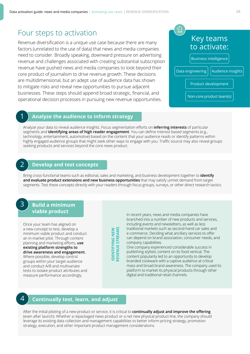### Four steps to activation

Revenue diversification is a unique use case because there are many factors (unrelated to the use of data) that news and media companies need to consider. Broadly speaking, downward pressure on advertising revenue and challenges associated with creating substantial subscription revenue have pushed news and media companies to look beyond their core product of journalism to drive revenue growth. These decisions are multidimensional, but an adept use of audience data has shown to mitigate risks and reveal new opportunities to pursue adjacent businesses. These steps should append broad strategic, financial, and operational decision processes in pursuing new revenue opportunities.



#### **Analyze the audience to inform strategy**

Analyze your data to reveal audience insights. Focus segmentation efforts on **inferring interests** of particular segments and **identifying areas of high reader engagement**. You can define interest-based segments (e.g., technology, entertainment, automotive) based on the content that your audience reads or identify patterns within highly engaged audience groups that might seek other ways to engage with you. Traffic source may also reveal groups seeking products and services beyond the core news product.

#### **Develop and test concepts**

Bring cross-functional teams such as editorial, sales and marketing, and business development together to **identify and evaluate product extensions and new business opportunities** that may satisfy unmet demand from target segments. Test these concepts directly with your readers through focus groups, surveys, or other direct research tactics.

### **Build a minimum viable product**

3

 $\overline{\mathcal{L}}$ 

1

Once your team has aligned on a new concept to test, develop a minimum viable product and conduct an in-market pilot. Through content planning and marketing efforts, **use existing platform strengths to drive awareness and engagement.** Where possible, develop control groups within your target audience and conduct A/B and multivariate tests to isolate product attributes and measure performance accordingly.

|   | ٢ |
|---|---|
|   |   |
|   | ≃ |
| σ |   |
|   | r |
|   | ц |
|   |   |
|   |   |
|   |   |
| ┍ | ₹ |
|   | ے |
|   |   |
|   |   |

In recent years, news and media companies have branched into a number of new products and services, including events and newsletters, as well as less traditional markets such as second-hand car sales and e-commerce. Deciding what ancillary services to offer can depend on brand association, consumer needs, and company capabilities.

One company experienced considerable success in publishing stylistic content on its food vertical. The content popularity led to an opportunity to develop branded cookware with a captive audience at critical mass and broad brand awareness. The company used its platform to market its physical products through other digital and traditional retail channels.

### 4 **Continually test, learn, and adjust**

After the initial piloting of a new product or service, it is critical to **continually adjust and improve the offering**  (even after launch). Whether a repackaged news product or a net new physical product line, the company should leverage its existing data collection and management capabilities to better inform pricing strategy, promotion strategy, execution, and other important product management considerations.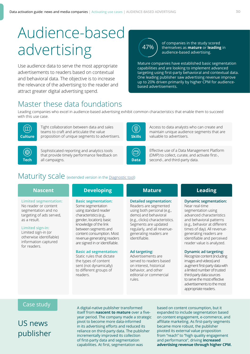# Audience-based advertising

Use audience data to serve the most appropriate advertisements to readers based on contextual and behavioral data. The objective is to increase the relevance of the advertising to the reader and attract greater digital advertising spend.

# 47%

of companies in the study scored themselves as **mature** or **leading** in audience-based advertising.

Mature companies have established basic segmentation capabilities and are looking to implement advanced targeting using first-party behavioral and contextual data. One leading publisher saw advertising revenue improve up to 20% driven primarily by higher CPM for audiencebased advertisements.

# Master these data foundations

Leading companies who excel in audience-based advertising exhibit common characteristics that enable them to succeed with this use case.



Tight collaboration between data and sales teams to craft and articulate the value **Culture** proposition of unique segments to advertisers.

讏

Sophisticated reporting and analytics tools that provide timely performance feedback on all campaigns. **Tech** all campaigns. **Data** second-, and third-party data.



Access to data analysts who can create and maintain unique audience segments that are **Skills** valuable to advertisers.



Effective use of a Data Management Platform (DMP) to collect, curate, and activate first-,

# Maturity scale (extended version in the [Diagnostic tool](http://digitalmaturitybenchmark.withgoogle.com/news))

| <b>Nascent</b>        | <b>Developing</b>          |
|-----------------------|----------------------------|
| Limited segmentation: | <b>Basic segmentation:</b> |

No reader or content segmentation and no targeting of ads served, as a result.

**Limited sign-in:** Limited sign-in (or otherwise identifiable) information captured for readers.

Some segmentation using standard reader characteristics (e.g., gender, location); basic knowledge of the link between segments and content consumption. Most revenue-generating readers are signed in or identifiable.

#### **Basic ad segmentation:**

Static rules that dictate the types of content sent (not dynamically) to different groups of readers.

#### **Detailed segmentation:** Readers are segmented using both personal (e.g., demo) and behavioral (e.g., clicks) characteristics.

Segments are updated regularly, and all revenuegenerating readers are identifiable.

#### **Ad targeting:**

Advertisements are served to readers based on interest, historical behavior, and other editorial or commercial rules.

### **Nascent Developing Mature Leading**

**Dynamic segmentation:** 

Near real-time segmentation using advanced characteristics and behavioral patterns (e.g., behavior at different times of day). All revenuegenerating readers are identifiable and perceived reader value is analyzed.

#### **Dynamic ad targeting:**

Recognize content (including images and videos) and augment first-party data with a limited number of trusted third-party data sources to serve the most effective advertisements to the most appropriate readers.

#### Case study

US news publisher

A digital-native publisher transformed itself from **nascent to mature** over a fiveyear period. The company made a strategic pivot to become more data-informed in its advertising efforts and reduced its reliance on third-party data. The publisher incrementally improved its collection of first-party data and segmentation capabilities. At first, segmentation was

based on content consumption, but it expanded to include segmentation based on content engagement, e-commerce, and affiliate marketing. As first-party segments became more robust, the publisher pivoted its external value proposition from "reach" to "high quality engagement and performance", driving **increased advertising revenue through higher CPM.**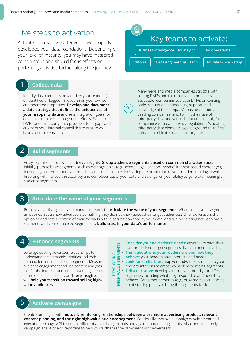### Five steps to activation

Activate this use case after you have properly developed your data foundations. Depending on your level of maturity, you may have mastered certain steps and should focus efforts on perfecting activities further along the journey.

### 1 **Collect data**

Identify data elements provided by your readers (i.e., unidentified or logged-in readers) on your owned and operated properties. **Develop and document a data strategy that defines the uniqueness of your first-party data** and sets integration goals for data collection and management efforts. Evaluate DMPs and third-party data providers to fill gaps and augment your internal capabilities to ensure you have a complete data set.

Editorial

vetting DMPs and third-party data providers. Successful companies evaluate DMPs on existing scale, reputation, accessibility, support, and knowledge of the company's business model. Leading companies tend to limit their use of third-party data and vet such data thoroughly for compliance with data privacy regulations. Validating third-party data elements against ground truth firstparty data mitigates data accuracy risks.

Many news and media companies struggle with

Key teams to activate:

Data engineering / Tech  $||$  Ad sales / Marketing

Business intelligence / Ad insight

### 2 **Build segments**

Analyze your data to reveal audience insights. **Group audience segments based on common characteristics.**  Initially, pursue basic segments such as demographics (e.g., gender, age, location, income) interest-based content (e.g., technology, entertainment, automotive), and traffic source. Increasing the proportion of your readers that log in while browsing will improve the accuracy and completeness of your data and strengthen your ability to generate meaningful audience segments.

#### 3 **Articulate the value of your segments**

Prepare advertising sales and marketing teams to **articulate the value of your segments.** What makes your segments unique? Can you show advertisers something they did not know about their target audiences? Offer advertisers the option to dedicate a portion of their media buy to initiatives powered by your data, and run A/B testing between basic segments and your enhanced segments to **build trust in your data's performance.**

#### 4 **Enhance segments**

Leverage existing advertiser relationships to understand their strategic priorities and their demand for certain audience segments. Measure audience engagement and use content analytics to infer the interests and intent in your segments based on audience behavior. **These insights will help you transition toward selling highvalue audiences.** 

- own predefined target segments that you need to satisfy.
- **Think about who your readers are and how they**
- **behave:** your readers have interests and needs.
- **Look for similarities:** map your advertisers' needs to your
- readers' interests to create valuable advertising segments.
- **Tell a narrative:** develop a narrative around your different
- **HIGH-VALUE SET ASSESS THEORY**<br> **HIGH-VALUE SET ASSESS**<br> **HIGH-VALUE SET ASSESS**<br> **HIGH-VALUE SET ASSESS**<br> **Look for similarities:** map your advertisers' needs to your<br> **HIGH-VALUE SET ASSES**<br> **HIGH-VALUE SET ASSES**<br> **HIGH** segments, including what they respond to and how they behave. Consumer personas (e.g., busy moms) can also be great starting points to bring the segments to life.

### 5 **Activate campaigns**

Create campaigns with **mutually reinforcing relationships between a premium advertising product, relevant content planning, and the right high-value audience segment**. Continually improve campaign development and execution through A/B testing of different advertising formats and against potential segments. Also, perform timely campaign analytics and reporting to help you further refine campaigns with advertisers.

**DEVELOPING**

**DEVELOPING** 

Ad operations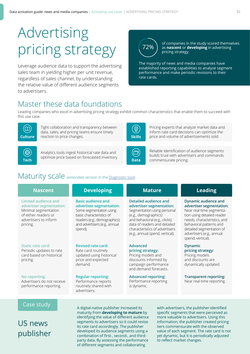# Advertising pricing strategy

Leverage audience data to support the advertising sales team in yielding higher per unit revenue, regardless of sales channel, by understanding the relative value of different audience segments to advertisers.

# 72%

of companies in the study scored themselves as **nascent** or **developing** in advertising pricing strategy.

The majority of news and media companies have established reporting capabilities to analyze segment performance and make periodic revisions to their rate cards.

# Master these data foundations

Leading companies who excel in advertising pricing strategy exhibit common characteristics that enable them to succeed with this use case.



Tight collaboration and transparency between data, sales, and pricing teams ensure timely **Culture** reaction to price changes.



Analytics tools ingest historical rate data and optimize price based on forecasted inventory. **Tech Data** commensurate pricing.



Pricing experts that analyze market data and inform rate card decisions can optimize the **Skills** price and volume of advertisements sold.



Reliable identification of audience segments builds trust with advertisers and commands

# Maturity scale (extended version in the [Diagnostic tool](http://digitalmaturitybenchmark.withgoogle.com/news))

| <b>Nascent</b> |  |  |
|----------------|--|--|
|                |  |  |

**Limited audience and advertiser segmentation:** Minimal segmentation of either readers or advertisers to inform pricing.

#### **Static rate card:**

Periodic updates to rate card based on historical pricing.

**No reporting:** 

Advertisers do not receive performance reporting.

**Basic audience and advertiser segmentation:** Some segmentation using basic characteristics of readers (e.g., demographics) and advertisers (e.g., annual spend).

#### **Revised rate card:**  Rate card routinely

updated using historical price and expected demand.

#### **Regular reporting:**

Performance reports routinely shared with advertisers.

#### **Nascent Developing Mature Leading Detailed audience and advertiser segmentation:** Segmentation using personal (e.g., demographics) and behavioral (e.g., clicks) data of readers and detailed characteristics of advertisers (e.g., annual spend, vertical).

#### **Advanced pricing strategy:** Pricing models and

discounts informed by campaign performance and demand forecasts.

#### **Advanced reporting:**

Performance reporting is dynamic.

**Dynamic audience and advertiser segmentation:** 

Near real-time segmentation using detailed reader needs, characteristics, and behavioral patterns and detailed segmentation of advertisers (e.g., annual spend, vertical).

**Dynamic pricing strategy:**  Pricing models and discounts are dynamically updated.

**Transparent reporting:**  Near real-time reporting.

### Case study

US news publisher A digital-native publisher increased its maturity from **developing to mature** by identifying the value of different audience segments to advertisers so it could revise its rate card accordingly. The publisher developed its audience segments using a combination of first-, second-, and thirdparty data. By assessing the performance of different segments and collaborating

with advertisers, the publisher identified specific segments that were perceived as more valuable to advertisers. Using this information, the publisher created pricing tiers commensurate with the observed value of each segment. The rate card is not yet dynamic, but it is periodically adjusted to reflect market changes.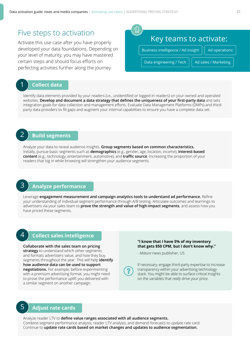### Five steps to activation

Activate this use case after you have properly developed your data foundations. Depending on your level of maturity, you may have mastered certain steps and should focus efforts on perfecting activities further along the journey.

# Key teams to activate: Business intelligence / Ad insight  $||$  Ad operations Data engineering / Tech  $||$  Ad sales / Marketing

### 1 **Collect data**

Identify data elements provided by your readers (i.e., unidentified or logged-in readers) on your owned and operated websites. **Develop and document a data strategy that defines the uniqueness of your first-party data** and sets integration goals for data collection and management efforts. Evaluate Data Management Platforms (DMPs) and thirdparty data providers to fill gaps and augment your internal capabilities to ensure you have a complete data set.

#### 2 **Build segments**

Analyze your data to reveal audience insights. **Group segments based on common characteristics.** Initially, pursue basic segments such as **demographics** (e.g., gender, age, location, income), **interest-based content** (e.g., technology, entertainment, automotive), and **traffic source**. Increasing the proportion of your readers that log in while browsing will strengthen your audience segments.

#### 3 **Analyze performance**

Leverage **engagement measurement and campaign analytics tools to understand ad performance.** Refine your understanding of individual segment performance through A/B testing. Articulate outcomes and learnings to advertisers via your sales team to **prove the strength and value of high-impact segments**, and assess how you have priced these segments.

### 4 **Collect sales intelligence**

**Collaborate with the sales team on pricing strategy** to understand which other segments and formats advertisers value, and how they buy segments throughout the year. This will help **identify how audience data can be used to support negotiations.** For example, before experimenting with a premium advertising format, you might need to prove the performance uplift you delivered with a similar segment on another campaign.

#### **"I know that I have 5% of my inventory that gets \$50 CPM, but I don't know why."**

- *Mature* news publisher, US



#### 5 **Adjust rate cards**

Analyze reader LTV to **define value ranges associated with all audience segments.** Combine segment performance analysis, reader LTV analysis, and demand forecasts to update rate card. Continue to **update rate cards based on market changes and updates to audience segmentation.**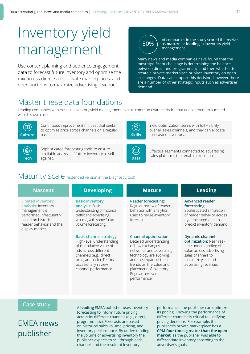# Inventory yield management

Use content planning and audience engagement data to forecast future inventory and optimize the mix across direct sales, private marketplaces, and open auctions to maximize advertising revenue.



of companies in the study scored themselves as **mature** or **leading** in inventory yield management.

Many news and media companies have found that the most significant challenge is determining the balance between direct and programmatic, and then whether to create a private marketplace or place inventory on open exchanges. Data can support this decision, however there are a number of other strategic inputs such as advertiser demand.

# Master these data foundations

Leading companies who excel in inventory yield management exhibit common characteristics that enable them to succeed with this use case.



Continuous improvement mindset that seeks to optimize price across channels on a regular

御

Sophisticated forecasting tools to ensure a reliable analysis of future inventory to sell against. sales platforms that enable execution.



Yield optimization teams with full visibility over all sales channels, and they can allocate **Skills** forecasted inventory.



Effective segments connected to advertising

# Maturity scale (extended version in the [Diagnostic tool](http://digitalmaturitybenchmark.withgoogle.com/news))

**Limited inventory analysis:** Inventory management is performed infrequently based on historical reader behavior and the display market.

**Basic inventory analysis:** Basic understanding of historical traffic and advertising volume, with some future

volume forecasting.

#### **Basic channel strategy:**

High-level understanding of the relative value of ads across different channels (e.g., direct programmatic). Teams occasionally review channel performance.

#### **Nascent Developing Mature Leading Reader forecasting:** Regular review of reader behavior with analytics used to revise inventory forecast. **Advanced reader forecasting:**

#### **Channel optimization:**

Detailed understanding of how exchanges, networks, and advertising technology are evolving, and the impact of these trends on the value and placement of inventory. Regular review of performance.

Sophisticated simulation of reader behavior across dynamic segments to predict inventory demand.

#### **Dynamic channel**

**optimization:** Near realtime understanding of value across advertising sales channels to maximize yield and advertising revenue.

#### Case study

EMEA news publisher

A **leading** EMEA publisher uses inventory forecasting to inform future pricing across its different channels (e.g., direct, programmatic). Forecasts are based on historical sales volume, pricing, and inventory performance. By understanding the volume of advertising inventory the publisher expects to sell through each channel, and the resultant inventory

performance, the publisher can optimize its pricing. Knowing the performance of different channels is critical to justifying pricing decisions. For example, the publisher's private marketplace has a **CPM four times greater than the open market**, as the publisher was able to differentiate inventory according to the advertiser's goals.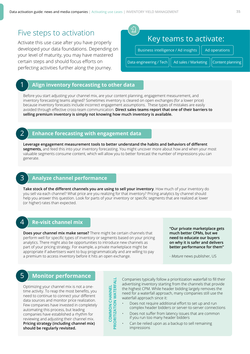### Five steps to activation

Activate this use case after you have properly developed your data foundations. Depending on your level of maturity, you may have mastered certain steps and should focus efforts on perfecting activities further along the journey.

| Key teams to activate:                              |                  |
|-----------------------------------------------------|------------------|
| Business intelligence / Ad insights                 | Ad operations    |
| Data engineering / Tech    <br>Ad sales / Marketing | Content planning |

#### **Align inventory forecasting to other data**

Before you start adjusting your channel mix, are your content planning, engagement measurement, and inventory forecasting teams aligned? Sometimes inventory is cleared on open exchanges (for a lower price) because inventory forecasts include incorrect engagement assumptions. These types of mistakes are easily avoided through effective cross-team communication. **Direct sales teams report that one of their barriers to selling premium inventory is simply not knowing how much inventory is available.** 

1

#### **Enhance forecasting with engagement data**

**Leverage engagement measurement tools to better understand the habits and behaviors of different segments,** and feed this into your inventory forecasting. You might uncover more about how and when your most valuable segments consume content, which will allow you to better forecast the number of impressions you can generate.

### 3

#### **Analyze channel performance**

**Take stock of the different channels you are using to sell your inventory**. How much of your inventory do you sell via each channel? What price are you realizing for that inventory? Pricing analytics by channel should help you answer this question. Look for parts of your inventory or specific segments that are realized at lower (or higher) rates than expected.

#### 4

#### **Re-visit channel mix**

**Does your channel mix make sense?** There might be certain channels that perform well for specific types of inventory or segments based on your pricing analytics. There might also be opportunities to introduce new channels as part of your pricing strategy. For example, a private marketplace might be appropriate if advertisers want to buy programmatically and are willing to pay a premium to access inventory before it hits an open exchange.

**"Our private marketplace gets much better CPMs, but we need to educate our buyers on why it is safer and delivers better performance for them"**

- *Mature* news publisher, US

#### **Monitor performance** 5

Optimizing your channel mix is not a onetime activity. To reap the most benefits, you need to continue to connect your different data sources and monitor price realization. Few companies have invested in completely automating this process, but leading companies have established a rhythm for reviewing and adjusting their channel mix. **Pricing strategy (including channel mix) should be regularly revisited.** 

HT **PRIORITIZATION WATERFALLCOMMON CHANNEL ORITIZATION WATERF COMMON CHANNEL**  $\mathbf{R}$ 

Companies typically follow a prioritization waterfall to fill their advertising inventory starting from the channels that provide the highest CPM. While header bidding largely removes the need for a waterfall approach, many companies still use the waterfall approach since it:

- Does not require additional effort to set up and run complex header bidders or server-to-server connections
- Does not suffer from latency issues that are common if you run too many header bidders
- Can be relied upon as a backup to sell remaining impressions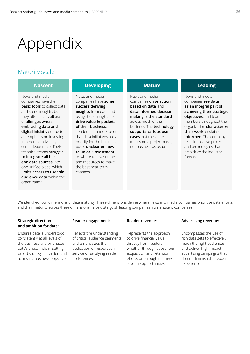# <span id="page-35-0"></span>Appendix

### Maturity scale

| <b>Nascent</b>                                                                                                                                                                                                                                                                                                                                                                                                                                                                        | <b>Developing</b>                                                                                                                                                                                                                                                                                                                                                                                   | <b>Mature</b>                                                                                                                                                                                                                                                                | <b>Leading</b>                                                                                                                                                                                                                                                                                                          |
|---------------------------------------------------------------------------------------------------------------------------------------------------------------------------------------------------------------------------------------------------------------------------------------------------------------------------------------------------------------------------------------------------------------------------------------------------------------------------------------|-----------------------------------------------------------------------------------------------------------------------------------------------------------------------------------------------------------------------------------------------------------------------------------------------------------------------------------------------------------------------------------------------------|------------------------------------------------------------------------------------------------------------------------------------------------------------------------------------------------------------------------------------------------------------------------------|-------------------------------------------------------------------------------------------------------------------------------------------------------------------------------------------------------------------------------------------------------------------------------------------------------------------------|
| News and media<br>companies have the<br><b>basic tools</b> to collect data<br>and some insights, but<br>they often face cultural<br>challenges when<br>embracing data and<br>digital initiatives due to<br>an emphasis on investing<br>in other initiatives by<br>senior leadership. Their<br>technical teams struggle<br>to integrate all back-<br>end data sources into<br>one unified place, which<br>limits access to useable<br><b>audience data</b> within the<br>organization. | News and media<br>companies have some<br>success deriving<br>insights from data and<br>using those insights to<br>drive value in pockets<br>of their business.<br>Leadership understands<br>that data initiatives are a<br>priority for the business,<br>but is <b>unclear on how</b><br>to unlock investment<br>or where to invest time<br>and resources to make<br>the best near-term<br>changes. | News and media<br>companies drive action<br>based on data, and<br>data-informed decision<br>making is the standard<br>across much of the<br>business. The technology<br>supports various use<br>cases, but these are<br>mostly on a project basis,<br>not business as usual. | News and media<br>companies see data<br>as an integral part of<br>achieving their strategic<br>objectives, and team<br>members throughout the<br>organization characterize<br>their work as data-<br>informed. The company<br>tests innovative projects<br>and technologies that<br>help drive the industry<br>forward. |

We identified four dimensions of data maturity. These dimensions define where news and media companies prioritize data efforts, and their maturity across these dimensions helps distinguish leading companies from nascent companies:

#### **Strategic direction and ambition for data:**

Ensures data is understood consistently at all levels of the business and prioritizes data's critical role in setting broad strategic direction and achieving business objectives.

#### **Reader engagement:**

Reflects the understanding of critical audience segments and emphasizes the dedication of resources in service of satisfying reader preferences.

#### **Reader revenue:**

Represents the approach to drive financial value directly from readers, whether through subscriber acquisition and retention efforts or through net new revenue opportunities.

#### **Advertising revenue:**

Encompasses the use of rich data sets to effectively reach the right audiences and deliver high-impact advertising campaigns that do not diminish the reader experience.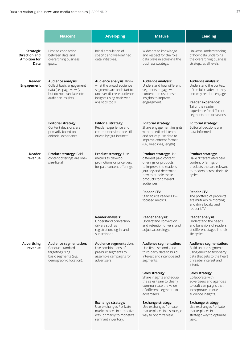|                                                    | <b>Nascent</b>                                                                                                                | <b>Developing</b>                                                                                                                                            | <b>Mature</b>                                                                                                                                                                               | <b>Leading</b>                                                                                                                                                                                          |
|----------------------------------------------------|-------------------------------------------------------------------------------------------------------------------------------|--------------------------------------------------------------------------------------------------------------------------------------------------------------|---------------------------------------------------------------------------------------------------------------------------------------------------------------------------------------------|---------------------------------------------------------------------------------------------------------------------------------------------------------------------------------------------------------|
| Strategic<br>Direction and<br>Ambition for<br>Data | Limited connection<br>between data and<br>overarching business<br>goals.                                                      | Initial articulation of<br>specific and well-defined<br>data initiatives.                                                                                    | Widespread knowledge<br>and respect for the role<br>data plays in achieving the<br>business strategy.                                                                                       | Universal understanding<br>of how data underpins<br>the overarching business<br>strategy, at all levels.                                                                                                |
| Reader<br>Engagement                               | Audience analysis:<br>Collect basic engagement<br>data (i.e., page views),<br>but do not translate into<br>audience insights. | Audience analysis: Know<br>what the broad audience<br>segments are and start to<br>uncover discrete audience<br>insights using basic web<br>analytics tools. | Audience analysis:<br>Understand how different<br>segments engage with<br>content and use these<br>insights to improve<br>engagement.                                                       | Audience analysis:<br>Understand the context<br>of the full reader journey<br>and why readers engage.<br>Reader experience:<br>Tailor the reader<br>experience for different<br>segments and occasions. |
|                                                    | <b>Editorial strategy:</b><br>Content decisions are<br>primarily based on<br>editorial experience.                            | <b>Editorial strategy:</b><br>Reader experience and<br>content decisions are still<br>driven by "gut instinct."                                              | <b>Editorial strategy:</b><br>Share engagement insights<br>with the editorial team<br>and actively use data to<br>improve content format<br>(i.e., headlines, length).                      | <b>Editorial strategy:</b><br>Editorial decisions are<br>data-informed.                                                                                                                                 |
| Reader<br>Revenue                                  | Product strategy: Paid<br>content offerings are one-<br>size-fits-all.                                                        | Product strategy: Use<br>metrics to develop<br>promotions or price tiers<br>for paid content offerings.                                                      | Product strategy: Use<br>different paid content<br>offerings or products<br>to improve the reader's<br>journey and determine<br>how to bundle these<br>products for different<br>audiences. | Product strategy:<br>Have differentiated paid<br>content offerings or<br>products that are relevant<br>to readers across their life<br>cycles.                                                          |
|                                                    |                                                                                                                               |                                                                                                                                                              | <b>Reader LTV:</b><br>Start to use reader LTV-<br>focused metrics.                                                                                                                          | <b>Reader LTV:</b><br>The portfolio of products<br>are mutually reinforcing<br>and drive loyalty and<br>reader LTV.                                                                                     |
|                                                    |                                                                                                                               | Reader analysis:<br>Understand conversion<br>drivers such as<br>registration, log-in, and<br>subscription.                                                   | Reader analysis:<br>Understand conversion<br>and retention drivers, and<br>adjust accordingly.                                                                                              | Reader analysis:<br>Understand the needs<br>and behaviors of readers<br>at different stages in their<br>life cycles.                                                                                    |
| Advertising<br>revenue                             | Audience segmentation:<br>Conduct standard<br>targeting using<br>basic segments (e.g.,<br>demographic, location).             | Audience segmentation:<br>Use combinations of<br>pre-built segments to<br>assemble campaigns for<br>advertisers.                                             | Audience segmentation:<br>Use first-, second-, and<br>third-party data to build<br>interest and intent-based<br>segments.                                                                   | Audience segmentation:<br>Build unique segments<br>using enriched first-party<br>data that gets to the heart<br>of reader interest and<br>intent.                                                       |
|                                                    |                                                                                                                               |                                                                                                                                                              | Sales strategy:<br>Share insights and equip<br>the sales team to clearly<br>communicate the value<br>of different segments to<br>advertisers.                                               | Sales strategy:<br>Collaborate with<br>advertisers and agencies<br>to craft campaigns that<br>incorporate unique<br>audience insights.                                                                  |
|                                                    |                                                                                                                               | Exchange strategy:<br>Use exchanges / private<br>marketplaces in a reactive<br>way, primarily to monetize<br>remnant inventory.                              | Exchange strategy:<br>Use exchanges / private<br>marketplaces in a strategic<br>way to optimize yield.                                                                                      | Exchange strategy:<br>Use exchanges / private<br>marketplaces in a<br>strategic way to optimize<br>yield.                                                                                               |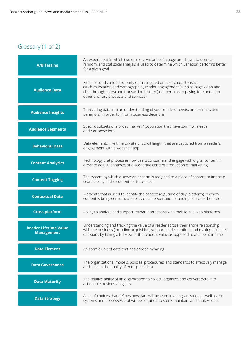# Glossary (1 of 2)

| <b>A/B Testing</b>                                | An experiment in which two or more variants of a page are shown to users at<br>random, and statistical analysis is used to determine which variation performs better<br>for a given goal                                                                                                    |
|---------------------------------------------------|---------------------------------------------------------------------------------------------------------------------------------------------------------------------------------------------------------------------------------------------------------------------------------------------|
| <b>Audience Data</b>                              | First-, second-, and third-party data collected on user characteristics<br>(such as location and demographic), reader engagement (such as page views and<br>click-through rates) and transaction history (as it pertains to paying for content or<br>other ancillary products and services) |
| <b>Audience Insights</b>                          | Translating data into an understanding of your readers' needs, preferences, and<br>behaviors, in order to inform business decisions                                                                                                                                                         |
| <b>Audience Segments</b>                          | Specific subsets of a broad market / population that have common needs<br>and / or behaviors                                                                                                                                                                                                |
| <b>Behavioral Data</b>                            | Data elements, like time on-site or scroll length, that are captured from a reader's<br>engagement with a website / app                                                                                                                                                                     |
| <b>Content Analytics</b>                          | Technology that processes how users consume and engage with digital content in<br>order to adjust, enhance, or discontinue content production or marketing                                                                                                                                  |
| <b>Content Tagging</b>                            | The system by which a keyword or term is assigned to a piece of content to improve<br>searchability of the content for future use                                                                                                                                                           |
| <b>Contextual Data</b>                            | Metadata that is used to identify the context (e.g., time of day, platform) in which<br>content is being consumed to provide a deeper understanding of reader behavior                                                                                                                      |
| <b>Cross-platform</b>                             | Ability to analyze and support reader interactions with mobile and web platforms                                                                                                                                                                                                            |
| <b>Reader Lifetime Value</b><br><b>Management</b> | Understanding and tracking the value of a reader across their entire relationship<br>with the business (including acquisition, support, and retention) and making business<br>decisions by taking a full view of the reader's value as opposed to at a point in time                        |
| <b>Data Element</b>                               | An atomic unit of data that has precise meaning                                                                                                                                                                                                                                             |
| <b>Data Governance</b>                            | The organizational models, policies, procedures, and standards to effectively manage<br>and sustain the quality of enterprise data                                                                                                                                                          |
| <b>Data Maturity</b>                              | The relative ability of an organization to collect, organize, and convert data into<br>actionable business insights                                                                                                                                                                         |
| <b>Data Strategy</b>                              | A set of choices that defines how data will be used in an organization as well as the<br>systems and processes that will be required to store, maintain, and analyze data                                                                                                                   |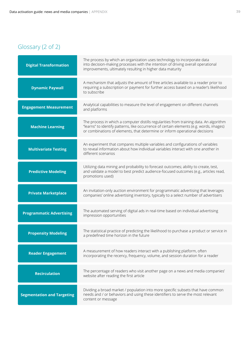# Glossary (2 of 2)

| <b>Digital Transformation</b>     | The process by which an organization uses technology to incorporate data<br>into decision-making processes with the intention of driving overall operational<br>improvements, ultimately resulting in higher data maturity                                       |
|-----------------------------------|------------------------------------------------------------------------------------------------------------------------------------------------------------------------------------------------------------------------------------------------------------------|
| <b>Dynamic Paywall</b>            | A mechanism that adjusts the amount of free articles available to a reader prior to<br>requiring a subscription or payment for further access based on a reader's likelihood<br>to subscribe                                                                     |
| <b>Engagement Measurement</b>     | Analytical capabilities to measure the level of engagement on different channels<br>and platforms                                                                                                                                                                |
| <b>Machine Learning</b>           | The process in which a computer distills regularities from training data. An algorithm<br>"learns" to identify patterns, like occurrence of certain elements (e.g. words, images)<br>or combinations of elements, that determine or inform operational decisions |
| <b>Multivariate Testing</b>       | An experiment that compares multiple variables and configurations of variables<br>to reveal information about how individual variables interact with one another in<br>different scenarios                                                                       |
| <b>Predictive Modeling</b>        | Utilizing data mining and probability to forecast outcomes; ability to create, test,<br>and validate a model to best predict audience-focused outcomes (e.g., articles read,<br>promotions used)                                                                 |
| <b>Private Marketplace</b>        | An invitation-only auction environment for programmatic advertising that leverages<br>companies' online advertising inventory, typically to a select number of advertisers                                                                                       |
| <b>Programmatic Advertising</b>   | The automated serving of digital ads in real-time based on individual advertising<br>impression opportunities                                                                                                                                                    |
| <b>Propensity Modeling</b>        | The statistical practice of predicting the likelihood to purchase a product or service in<br>a predefined time horizon in the future                                                                                                                             |
| <b>Reader Engagement</b>          | A measurement of how readers interact with a publishing platform, often<br>incorporating the recency, frequency, volume, and session duration for a reader                                                                                                       |
| <b>Recirculation</b>              | The percentage of readers who visit another page on a news and media companies'<br>website after reading the first article                                                                                                                                       |
| <b>Segmentation and Targeting</b> | Dividing a broad market / population into more specific subsets that have common<br>needs and / or behaviors and using these identifiers to serve the most relevant<br>content or message                                                                        |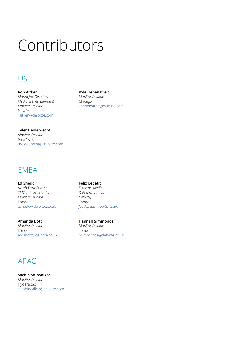# Contributors

# US

**Rob Aitken** *Managing Director, [Media & Entertainment](mailto:raitken%40deloitte.com?subject=) Monitor Deloitte,*  New York raitken@deloitte.com

#### **Tyler Heidebrecht**

*Monitor Deloitte,* New York [theidebrecht@deloitte.com](mailto:theidebrecht%40deloitte.com?subject=)

# EMEA

**Ed Shedd** *North West Europe TMT Industry Leader Monitor Deloitte,* London [eshedd@deloitte.co.uk](mailto:eshedd%40deloitte.co.uk?subject=)

**Amanda Bott** *Monitor Deloitte,* London [amabott@deloitte.co.uk](mailto:amabott%40deloitte.co.uk?subject=)

#### **Felix Lepetit**

**Kyle Hebenstreit** *Monitor Deloitte,* Chicago

[khebenstreit@deloitte.com](mailto:khebenstreit%40deloitte.com?subject=)

*Director, Media & Entertainment Deloitte,*  London *[felixlepetit@deloitte.co.uk](mailto:felixlepetit%40deloitte.co.uk?subject=)*

**Hannah Simmonds** *Monitor Deloitte,* London [hsimmonds@deloitte.co.uk](mailto:hsimmonds%40deloitte.co.uk?subject=)

# APAC

**Sachin Shirwalkar** *Monitor Deloitte,*  Hyderabad [sacshirwalkar@deloitte.com](mailto:sacshirwalkar%40deloitte.com?subject=)